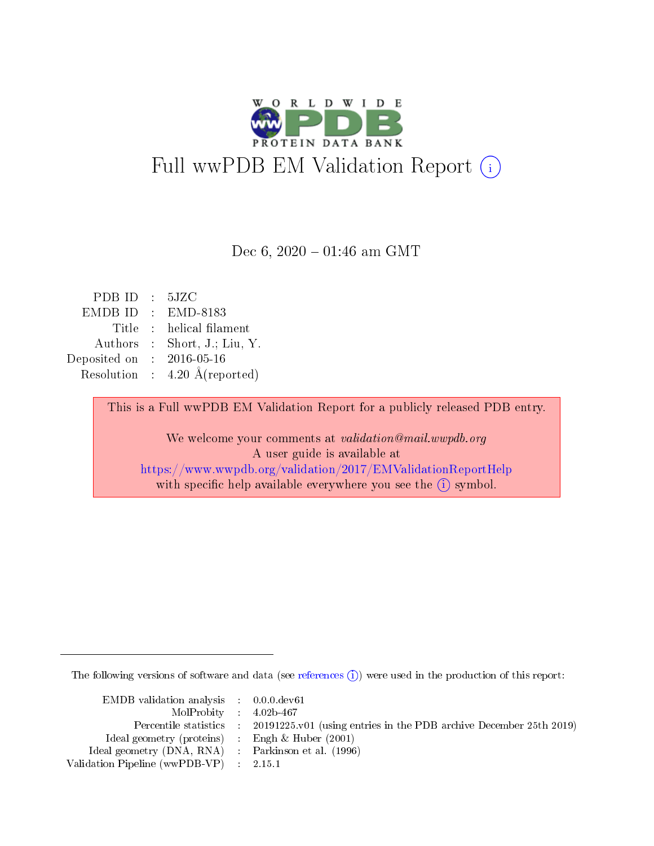

Dec 6,  $2020 - 01:46$  am GMT

| PDB ID         |                 | $\div$ 5JZC                     |
|----------------|-----------------|---------------------------------|
| <b>EMDB ID</b> | $\bullet$ .     | EMD-8183                        |
| Title          |                 | : helical filament              |
| Authors        |                 | $\therefore$ Short, J.; Liu, Y. |
| Deposited on   |                 | $: 2016 - 05 - 16$              |
| Resolution     | $\sim 10^{-11}$ | $4.20 \text{ Å}$ (reported)     |
|                |                 |                                 |

This is a Full wwPDB EM Validation Report for a publicly released PDB entry.

We welcome your comments at validation@mail.wwpdb.org A user guide is available at <https://www.wwpdb.org/validation/2017/EMValidationReportHelp> with specific help available everywhere you see the  $(i)$  symbol.

The following versions of software and data (see [references](https://www.wwpdb.org/validation/2017/EMValidationReportHelp#references)  $\hat{I}$ ) were used in the production of this report:

| $EMDB$ validation analysis $0.0.0$ dev61            |                             |                                                                    |
|-----------------------------------------------------|-----------------------------|--------------------------------------------------------------------|
| $MolProbability$ 4.02b-467                          |                             |                                                                    |
| Percentile statistics :                             |                             | 20191225.v01 (using entries in the PDB archive December 25th 2019) |
| Ideal geometry (proteins)                           | $\mathcal{L}_{\mathcal{A}}$ | Engh & Huber $(2001)$                                              |
| Ideal geometry (DNA, RNA) : Parkinson et al. (1996) |                             |                                                                    |
| Validation Pipeline (wwPDB-VP) : 2.15.1             |                             |                                                                    |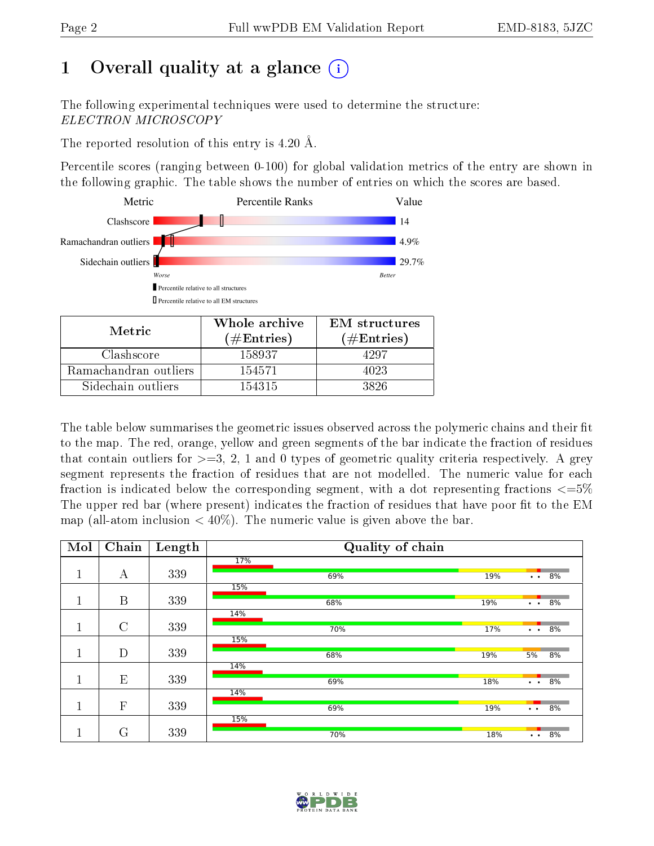## 1 [O](https://www.wwpdb.org/validation/2017/EMValidationReportHelp#overall_quality)verall quality at a glance  $(i)$

The following experimental techniques were used to determine the structure: ELECTRON MICROSCOPY

The reported resolution of this entry is 4.20 Å.

Percentile scores (ranging between 0-100) for global validation metrics of the entry are shown in the following graphic. The table shows the number of entries on which the scores are based.



| Metric.               | Whole archive<br>$(\#Entries)$ | <b>EM</b> structures<br>$(\#Entries)$ |  |  |
|-----------------------|--------------------------------|---------------------------------------|--|--|
| Clashscore            | 158937                         | 4297                                  |  |  |
| Ramachandran outliers | 154571                         | 4023                                  |  |  |
| Sidechain outliers    | 154315                         | 3826                                  |  |  |

The table below summarises the geometric issues observed across the polymeric chains and their fit to the map. The red, orange, yellow and green segments of the bar indicate the fraction of residues that contain outliers for  $\geq=3$ , 2, 1 and 0 types of geometric quality criteria respectively. A grey segment represents the fraction of residues that are not modelled. The numeric value for each fraction is indicated below the corresponding segment, with a dot representing fractions  $\epsilon = 5\%$ The upper red bar (where present) indicates the fraction of residues that have poor fit to the EM map (all-atom inclusion  $\langle 40\% \rangle$ ). The numeric value is given above the bar.

| Mol    | Chain         | Length | Quality of chain |     |                       |    |  |
|--------|---------------|--------|------------------|-----|-----------------------|----|--|
|        |               |        | 17%              |     |                       |    |  |
| п      | А             | 339    | 69%              | 19% | $\bullet$ . $\bullet$ | 8% |  |
|        |               |        | 15%              |     |                       |    |  |
|        | B             | 339    | 68%              | 19% | $\ddot{\phantom{1}}$  | 8% |  |
|        |               |        | 14%              |     |                       |    |  |
| п<br>T | $\mathcal{C}$ | 339    | 70%              | 17% | $\ddot{\phantom{1}}$  | 8% |  |
|        |               |        | 15%              |     |                       |    |  |
|        | D             | 339    | 68%              | 19% | 5%                    | 8% |  |
|        |               |        | 14%              |     |                       |    |  |
|        | E             | 339    | 69%              | 18% | $\ddotsc$             | 8% |  |
|        |               |        | 14%              |     |                       |    |  |
| 1      | $\mathbf{F}$  | 339    | 69%              | 19% | $\bullet$ . $\bullet$ | 8% |  |
|        |               |        | 15%              |     |                       |    |  |
|        | G             | 339    | 70%              | 18% | $\ddot{\phantom{a}}$  | 8% |  |

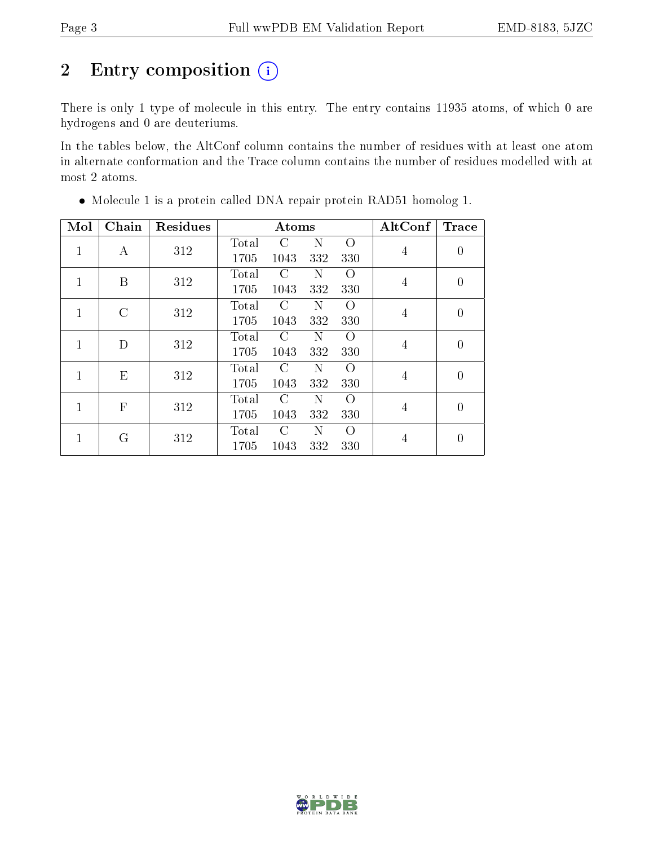# 2 Entry composition (i)

There is only 1 type of molecule in this entry. The entry contains 11935 atoms, of which 0 are hydrogens and 0 are deuteriums.

In the tables below, the AltConf column contains the number of residues with at least one atom in alternate conformation and the Trace column contains the number of residues modelled with at most 2 atoms.

| Mol          | Chain        | <b>Residues</b> |       | Atoms         | AltConf     | <b>Trace</b>       |                |                |
|--------------|--------------|-----------------|-------|---------------|-------------|--------------------|----------------|----------------|
| 1            | А            | 312             | Total | $\mathcal{C}$ | $\mathbf N$ | $\Omega$           | 4              | $\overline{0}$ |
|              |              |                 | 1705  | 1043          | 332         | 330                |                |                |
| $\mathbf{1}$ | B            | 312             | Total | $\rm C$       | N           | $\Omega$           | 4              | $\overline{0}$ |
|              |              |                 | 1705  | 1043          | 332         | 330                |                |                |
| 1            | C            | 312             | Total | C             | N           | O                  | $\overline{4}$ | $\theta$       |
|              |              |                 | 1705  | 1043          | 332         | 330                |                |                |
| 1            |              | 312<br>D        | Total | C             | N           | O                  | 4              | $\theta$       |
|              |              |                 | 1705  | 1043          | 332         | 330                |                |                |
| 1            | Ε            | 312             | Total | C             | Ν           | $\left( \ \right)$ | 4              | $\overline{0}$ |
|              |              |                 | 1705  | 1043          | 332         | 330                |                |                |
| 1            | $\mathbf{F}$ | 312             | Total | C             | Ν           | $\Omega$           | $\overline{4}$ | $\theta$       |
|              |              | 1705            | 1043  | 332           | 330         |                    |                |                |
| 1            | G            | 312             | Total | C             | Ν           | $\left( \right)$   | 4              | $\theta$       |
|              |              |                 | 1705  | 1043          | 332         | 330                |                |                |

Molecule 1 is a protein called DNA repair protein RAD51 homolog 1.

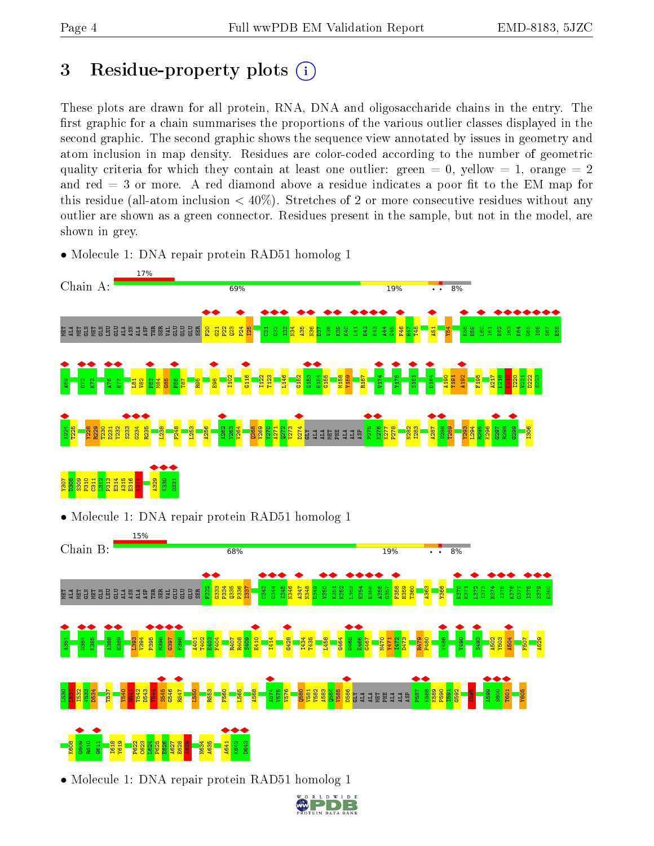## <span id="page-3-0"></span>3 Residue-property plots  $(i)$

These plots are drawn for all protein, RNA, DNA and oligosaccharide chains in the entry. The first graphic for a chain summarises the proportions of the various outlier classes displayed in the second graphic. The second graphic shows the sequence view annotated by issues in geometry and atom inclusion in map density. Residues are color-coded according to the number of geometric quality criteria for which they contain at least one outlier: green  $= 0$ , yellow  $= 1$ , orange  $= 2$ and red  $=$  3 or more. A red diamond above a residue indicates a poor fit to the EM map for this residue (all-atom inclusion  $\lt 40\%$ ). Stretches of 2 or more consecutive residues without any outlier are shown as a green connector. Residues present in the sample, but not in the model, are shown in grey.

• Molecule 1: DNA repair protein RAD51 homolog 1



• Molecule 1: DNA repair protein RAD51 homolog 1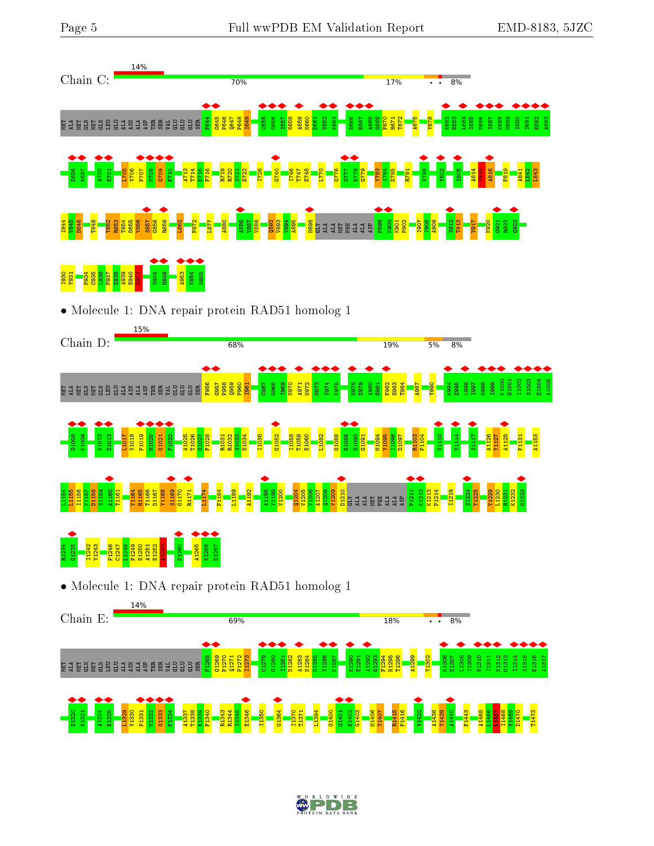



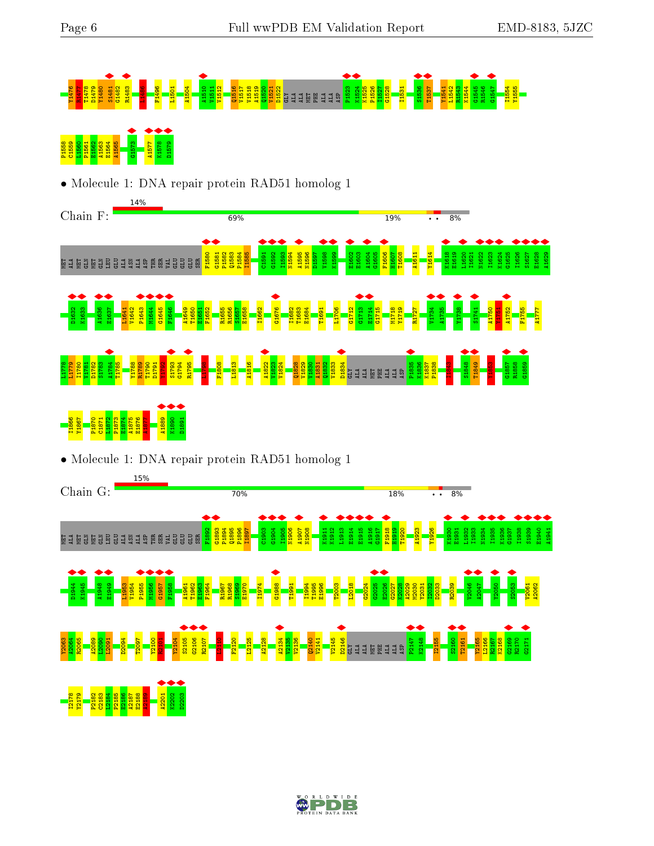

• Molecule 1: DNA repair protein RAD51 homolog 1



• Molecule 1: DNA repair protein RAD51 homolog 1



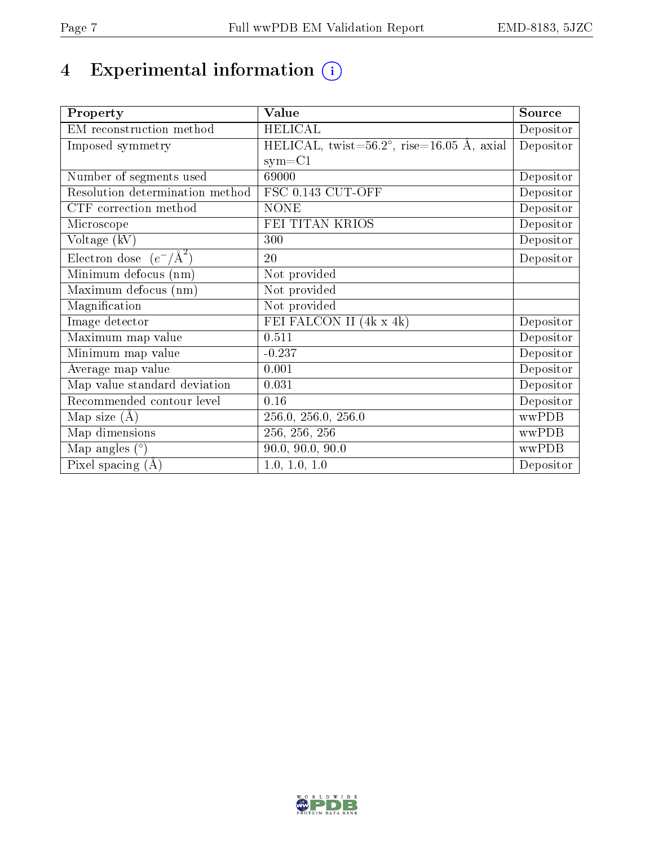# 4 Experimental information (i)

| Property                           | Value                                     | Source    |
|------------------------------------|-------------------------------------------|-----------|
| EM reconstruction method           | <b>HELICAL</b>                            | Depositor |
| Imposed symmetry                   | HELICAL, twist=56.2°, rise=16.05 Å, axial | Depositor |
|                                    | $sym = C1$                                |           |
| Number of segments used            | 69000                                     | Depositor |
| Resolution determination method    | FSC 0.143 CUT-OFF                         | Depositor |
| CTF correction method              | <b>NONE</b>                               | Depositor |
| Microscope                         | FEI TITAN KRIOS                           | Depositor |
| Voltage (kV)                       | 300                                       | Depositor |
| Electron dose $(e^-/\text{\AA}^2)$ | 20                                        | Depositor |
| Minimum defocus (nm)               | Not provided                              |           |
| Maximum defocus (nm)               | Not provided                              |           |
| Magnification                      | Not provided                              |           |
| Image detector                     | FEI FALCON II (4k x 4k)                   | Depositor |
| Maximum map value                  | 0.511                                     | Depositor |
| Minimum map value                  | $-0.237$                                  | Depositor |
| Average map value                  | 0.001                                     | Depositor |
| Map value standard deviation       | 0.031                                     | Depositor |
| Recommended contour level          | 0.16                                      | Depositor |
| Map size $(A)$                     | 256.0, 256.0, 256.0                       | wwPDB     |
| Map dimensions                     | 256, 256, 256                             | wwPDB     |
| Map angles $(°)$                   | $\overline{90.0}$ , $90.0$ , $90.0$       | wwPDB     |
| Pixel spacing $(A)$                | 1.0, 1.0, 1.0                             | Depositor |

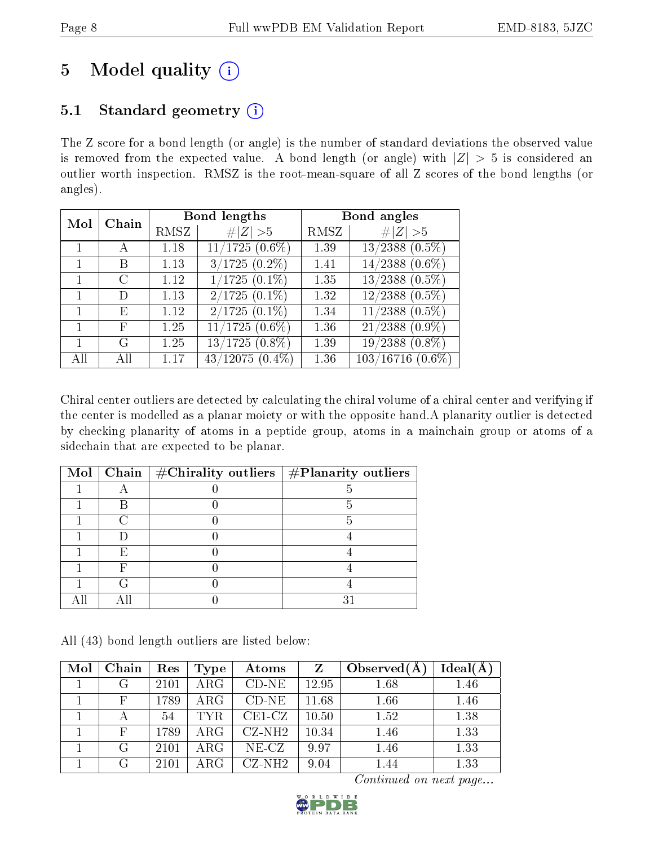## 5 Model quality  $(i)$

## 5.1 Standard geometry  $(i)$

The Z score for a bond length (or angle) is the number of standard deviations the observed value is removed from the expected value. A bond length (or angle) with  $|Z| > 5$  is considered an outlier worth inspection. RMSZ is the root-mean-square of all Z scores of the bond lengths (or angles).

| Mol | Chain  |      | Bond lengths      | Bond angles |                                |  |
|-----|--------|------|-------------------|-------------|--------------------------------|--|
|     |        | RMSZ | # $ Z  > 5$       | RMSZ        | Z   > 5                        |  |
|     |        | 1.18 | $11/1725(0.6\%)$  | 1.39        | $\overline{13/2388}$ $(0.5\%)$ |  |
|     | В      | 1.13 | $3/1725(0.2\%)$   | 1.41        | $14/2388$ $(0.6\%)$            |  |
|     | C      | 1.12 | $1/1725(0.1\%)$   | 1.35        | $13/2388$ $(0.5\%)$            |  |
|     | $\Box$ | 1.13 | $2/1725(0.1\%)$   | 1.32        | $12/2388$ $(0.5\%)$            |  |
|     | E      | 1.12 | $2/1725(0.1\%)$   | 1.34        | $11/2388$ $(0.5\%)$            |  |
|     | F      | 1.25 | $11/1725(0.6\%)$  | 1.36        | $21/2388$ $(0.9\%)$            |  |
|     | G      | 1.25 | $13/1725(0.8\%)$  | 1.39        | 19/2388<br>$(0.8\%)$           |  |
| All | ΑH     | 1.17 | $43/12075(0.4\%)$ | 1.36        | $103/16716(0.6\%)$             |  |

Chiral center outliers are detected by calculating the chiral volume of a chiral center and verifying if the center is modelled as a planar moiety or with the opposite hand.A planarity outlier is detected by checking planarity of atoms in a peptide group, atoms in a mainchain group or atoms of a sidechain that are expected to be planar.

|  | Mol   Chain   $\#\text{Chirality outliers}$   $\#\text{Planarity outliers}$ |  |
|--|-----------------------------------------------------------------------------|--|
|  |                                                                             |  |
|  |                                                                             |  |
|  |                                                                             |  |
|  |                                                                             |  |
|  |                                                                             |  |
|  |                                                                             |  |
|  |                                                                             |  |
|  |                                                                             |  |

All (43) bond length outliers are listed below:

| Mol | Chain | Res  | Type       | Atoms    | Z     | Observed $(A)$ | Ideal(A) |
|-----|-------|------|------------|----------|-------|----------------|----------|
|     |       | 2101 | $\rm{ARG}$ | $CD-NE$  | 12.95 | 1.68           | 1.46     |
|     | F     | 1789 | $\rm{ARG}$ | $CD-NE$  | 11.68 | 1.66           | 1.46     |
|     |       | 54   | <b>TYR</b> | $CE1-CZ$ | 10.50 | 1.52           | 1.38     |
|     | F     | 1789 | $\rm{ARG}$ | $CZ-NH2$ | 10.34 | 1.46           | 1.33     |
|     | G     | 2101 | $\rm{ARG}$ | $NE-CZ$  | 9.97  | 1.46           | 1.33     |
|     | G     | 2101 | ARG        | $CZ-NH2$ | 9.04  | 1.44           | 1.33     |

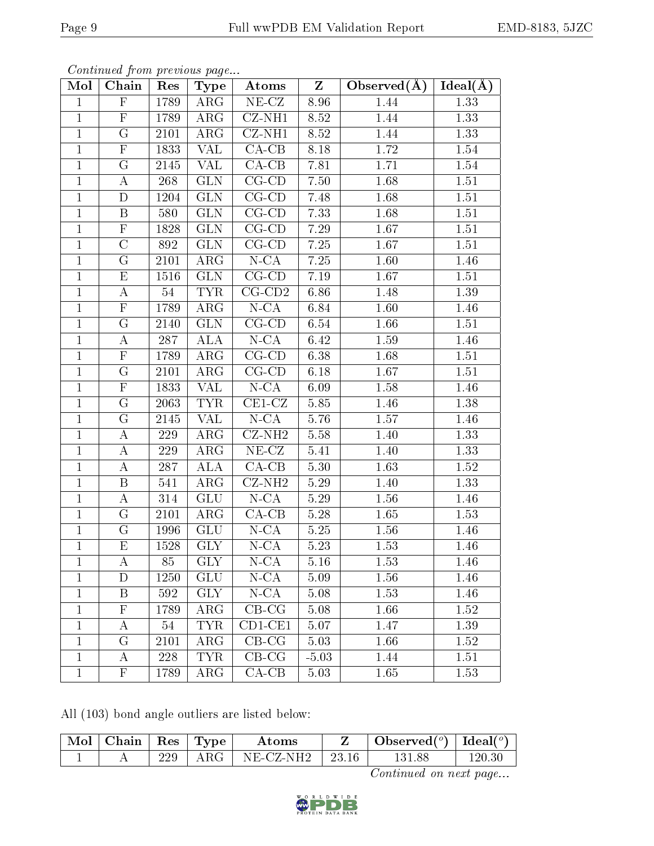| EMD-8183, 5JZC |  |
|----------------|--|
|----------------|--|

| Mol            | contentava promo providente pago<br>Chain | $\operatorname{Res}% \left( \mathcal{N}\right) \equiv\operatorname{Res}(\mathcal{N}_{0})\cap\mathcal{N}_{1}$ | Type                    | Atoms                      | $\mathbf{Z}$ | Observed $\overline{A(A)}$ | $\overline{\text{Ideal}}(\AA)$ |
|----------------|-------------------------------------------|--------------------------------------------------------------------------------------------------------------|-------------------------|----------------------------|--------------|----------------------------|--------------------------------|
| $\mathbf{1}$   | F                                         | 1789                                                                                                         | $\rm{ARG}$              | $NE-CZ$                    | 8.96         | 1.44                       | 1.33                           |
| $\mathbf{1}$   | ${\bf F}$                                 | 1789                                                                                                         | $\rm{ARG}$              | $CZ-NH1$                   | 8.52         | 1.44                       | 1.33                           |
| $\mathbf{1}$   | $\overline{G}$                            | 2101                                                                                                         | $\rm{ARG}$              | $CZ-NH1$                   | 8.52         | 1.44                       | 1.33                           |
| $\mathbf{1}$   | $\mathbf F$                               | 1833                                                                                                         | <b>VAL</b>              | $CA-CB$                    | 8.18         | $1.72\,$                   | 1.54                           |
| $\mathbf{1}$   | G                                         | 2145                                                                                                         | VAL                     | $CA-CB$                    | 7.81         | 1.71                       | 1.54                           |
| $\mathbf{1}$   | $\bf{A}$                                  | 268                                                                                                          | <b>GLN</b>              | $CG-CD$                    | 7.50         | 1.68                       | 1.51                           |
| $\mathbf{1}$   | D                                         | 1204                                                                                                         | <b>GLN</b>              | $CG$ - $CD$                | 7.48         | 1.68                       | $1.51\,$                       |
| $\overline{1}$ | $\, {\bf B}$                              | 580                                                                                                          | GLN                     | $CG-CD$                    | 7.33         | 1.68                       | $\overline{1}.51$              |
| $\mathbf{1}$   | $\mathbf F$                               | 1828                                                                                                         | <b>GLN</b>              | $CG$ - $CD$                | 7.29         | 1.67                       | 1.51                           |
| $\mathbf{1}$   | $\overline{\rm C}$                        | 892                                                                                                          | $\overline{\text{GLN}}$ | $CG$ - $CD$                | 7.25         | 1.67                       | 1.51                           |
| $\mathbf{1}$   | G                                         | 2101                                                                                                         | ARG                     | $N-CA$                     | 7.25         | 1.60                       | 1.46                           |
| $\mathbf{1}$   | E                                         | 1516                                                                                                         | <b>GLN</b>              | $\overline{C}$ G-CD        | 7.19         | 1.67                       | 1.51                           |
| $\mathbf{1}$   | $\boldsymbol{A}$                          | 54                                                                                                           | <b>TYR</b>              | $CG$ - $CD2$               | 6.86         | 1.48                       | 1.39                           |
| $\mathbf{1}$   | $\mathbf F$                               | 1789                                                                                                         | ARG                     | $N$ -CA                    | 6.84         | 1.60                       | 1.46                           |
| $\mathbf{1}$   | G                                         | 2140                                                                                                         | <b>GLN</b>              | $CG$ - $CD$                | 6.54         | 1.66                       | 1.51                           |
| $\mathbf{1}$   | A                                         | 287                                                                                                          | <b>ALA</b>              | $N$ -CA                    | 6.42         | 1.59                       | 1.46                           |
| $\mathbf{1}$   | $\mathbf F$                               | 1789                                                                                                         | ARG                     | $CG$ - $CD$                | 6.38         | $1.68\,$                   | 1.51                           |
| $\mathbf{1}$   | G                                         | 2101                                                                                                         | $\rm{ARG}$              | $CG$ - $CD$                | 6.18         | 1.67                       | 1.51                           |
| $\mathbf{1}$   | $\mathbf F$                               | 1833                                                                                                         | <b>VAL</b>              | $N - CA$                   | 6.09         | $1.58\,$                   | 1.46                           |
| $\mathbf{1}$   | G                                         | 2063                                                                                                         | <b>TYR</b>              | $CE1-CZ$                   | 5.85         | 1.46                       | 1.38                           |
| $\mathbf{1}$   | G                                         | 2145                                                                                                         | $\overline{\text{VAL}}$ | $N - CA$                   | 5.76         | $1.57\,$                   | 1.46                           |
| $\mathbf{1}$   | $\boldsymbol{A}$                          | 229                                                                                                          | ARG                     | $\overline{\text{CZ-NH2}}$ | 5.58         | 1.40                       | 1.33                           |
| $\mathbf{1}$   | A                                         | 229                                                                                                          | ARG                     | $NE-CZ$                    | 5.41         | 1.40                       | 1.33                           |
| $\mathbf 1$    | $\bf{A}$                                  | 287                                                                                                          | ALA                     | $CA-CB$                    | 5.30         | 1.63                       | 1.52                           |
| $\mathbf{1}$   | $\, {\bf B}$                              | 541                                                                                                          | ARG                     | $CZ-NH2$                   | $5.29\,$     | 1.40                       | 1.33                           |
| $\mathbf{1}$   | $\boldsymbol{A}$                          | 314                                                                                                          | GLU                     | $N - CA$                   | 5.29         | 1.56                       | 1.46                           |
| $\overline{1}$ | G                                         | 2101                                                                                                         | ARG                     | $\overline{CA-CB}$         | $5.28\,$     | 1.65                       | 1.53                           |
| $\mathbf{1}$   | $\mathbf G$                               | 1996                                                                                                         | <b>GLU</b>              | $N - CA$                   | 5.25         | 1.56                       | 1.46                           |
| $\mathbf{1}$   | $E_{\rm}$                                 | 1528                                                                                                         | <b>GLY</b>              | $N$ -CA                    | 5.23         | 1.53                       | 1.46                           |
| 1              | А                                         | 85                                                                                                           | <b>GLY</b>              | N-CA                       | 5.16         | 1.53                       | 1.46                           |
| $\mathbf{1}$   | D                                         | 1250                                                                                                         | <b>GLU</b>              | $N-CA$                     | 5.09         | 1.56                       | 1.46                           |
| $\mathbf{1}$   | Β                                         | 592                                                                                                          | <b>GLY</b>              | $N$ -CA                    | 5.08         | 1.53                       | 1.46                           |
| $\mathbf{1}$   | ${\bf F}$                                 | 1789                                                                                                         | ARG                     | $CB-CG$                    | 5.08         | 1.66                       | 1.52                           |
| $\mathbf{1}$   | А                                         | 54                                                                                                           | <b>TYR</b>              | $CD1-CE1$                  | 5.07         | 1.47                       | 1.39                           |
| $\mathbf{1}$   | $\rm G$                                   | 2101                                                                                                         | ARG                     | $CB-CG$                    | 5.03         | 1.66                       | 1.52                           |
| $\mathbf{1}$   | A                                         | 228                                                                                                          | <b>TYR</b>              | $CB-CG$                    | $-5.03$      | 1.44                       | 1.51                           |
| $\mathbf{1}$   | $\mathbf{F}$                              | 1789                                                                                                         | $\rm{ARG}$              | $CA-CB$                    | 5.03         | 1.65                       | 1.53                           |

All (103) bond angle outliers are listed below:

| $\mid$ Mol $\mid$ Chain $\mid$ Res $\mid$ Type $\mid$ |     |       | Atoms                         | $\bullet$ Observed $({}^o)$   Ideal $({}^o)$ |        |
|-------------------------------------------------------|-----|-------|-------------------------------|----------------------------------------------|--------|
|                                                       | 229 | ARG ' | $\mid$ NE-CZ-NH2 $\mid$ 23.16 | 131.88                                       | 120.30 |

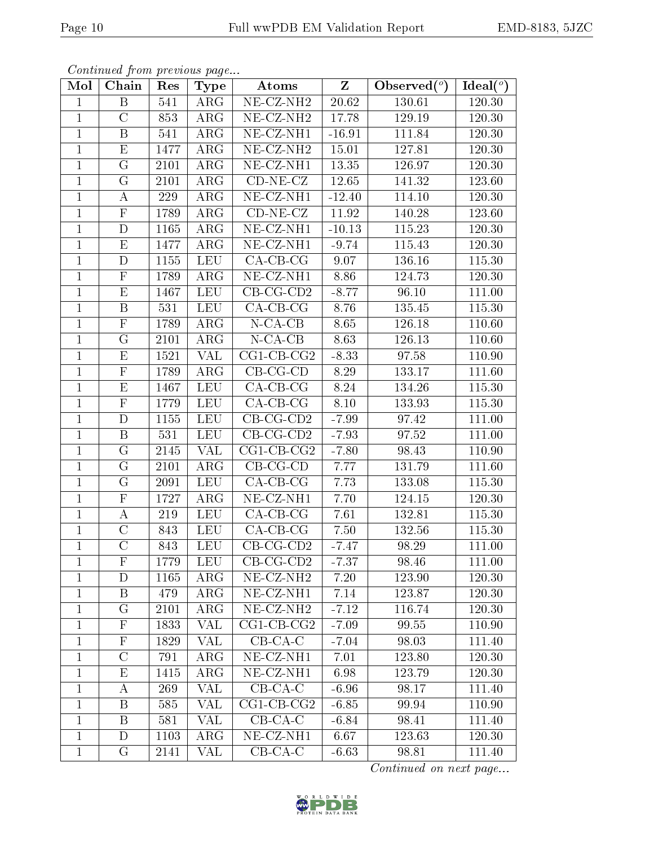| Continued from previous page |  |  |
|------------------------------|--|--|

| Mol            | Chain                   | Res  | <b>Type</b>          | Atoms                          | $\overline{z}$ | Observed $(°)$     | Ideal $(°)$ |
|----------------|-------------------------|------|----------------------|--------------------------------|----------------|--------------------|-------------|
| $\mathbf{1}$   | $\boldsymbol{B}$        | 541  | ARG                  | $NE-CZ-NH2$                    | $20.62\,$      | 130.61             | 120.30      |
| $\mathbf{1}$   | $\mathcal{C}$           | 853  | ARG                  | NE-CZ-NH <sub>2</sub>          | 17.78          | 129.19             | 120.30      |
| $\overline{1}$ | $\overline{B}$          | 541  | $\rm{ARG}$           | $NE$ - $CZ$ - $NH1$            | $-16.91$       | 111.84             | 120.30      |
| $\mathbf{1}$   | E                       | 1477 | $\rm{ARG}$           | NE-CZ-NH <sub>2</sub>          | 15.01          | 127.81             | 120.30      |
| $\mathbf{1}$   | G                       | 2101 | ARG                  | NE-CZ-NH1                      | 13.35          | 126.97             | 120.30      |
| $\mathbf{1}$   | G                       | 2101 | $\rm{ARG}$           | $CD-NE- CZ$                    | 12.65          | 141.32             | 123.60      |
| $\mathbf{1}$   | $\boldsymbol{A}$        | 229  | $\rm{ARG}$           | $\overline{\text{NE}}$ -CZ-NH1 | $-12.40$       | 114.10             | 120.30      |
| $\mathbf{1}$   | ${\bf F}$               | 1789 | $\rm{ARG}$           | $CD-NE- CZ$                    | 11.92          | 140.28             | 123.60      |
| $\mathbf{1}$   | D                       | 1165 | ARG                  | NE-CZ-NH1                      | $-10.13$       | 115.23             | 120.30      |
| $\mathbf{1}$   | E                       | 1477 | $\rm{ARG}$           | $NE$ -CZ-NH1                   | $-9.74$        | 115.43             | 120.30      |
| $\mathbf{1}$   | D                       | 1155 | <b>LEU</b>           | $CA-CB-CG$                     | 9.07           | 136.16             | 115.30      |
| $\mathbf{1}$   | $\overline{\mathrm{F}}$ | 1789 | $\rm{ARG}$           | $NE- CZ-NH1$                   | 8.86           | 124.73             | $120.30\,$  |
| $\mathbf{1}$   | E                       | 1467 | <b>LEU</b>           | $CB-CG-CD2$                    | $-8.77$        | 96.10              | 111.00      |
| $\mathbf{1}$   | B                       | 531  | $\operatorname{LEU}$ | $CA-CB-CG$                     | 8.76           | 135.45             | 115.30      |
| $\mathbf{1}$   | $\mathbf F$             | 1789 | ARG                  | $N$ -CA-CB                     | 8.65           | 126.18             | 110.60      |
| $\mathbf{1}$   | G                       | 2101 | ARG                  | $N$ -CA-CB                     | 8.63           | 126.13             | 110.60      |
| $\mathbf{1}$   | E                       | 1521 | VAL                  | $\overline{\text{CG1-CB-CG2}}$ | $-8.33$        | 97.58              | 110.90      |
| $\mathbf{1}$   | $\mathbf F$             | 1789 | $\rm{ARG}$           | $CB-CG-CD$                     | 8.29           | 133.17             | 111.60      |
| $\mathbf{1}$   | E                       | 1467 | <b>LEU</b>           | $CA-CB-CG$                     | 8.24           | 134.26             | $115.30\,$  |
| $\mathbf{1}$   | $\overline{\mathrm{F}}$ | 1779 | <b>LEU</b>           | $CA-CB-CG$                     | 8.10           | 133.93             | 115.30      |
| $\mathbf{1}$   | $\mathbf D$             | 1155 | <b>LEU</b>           | $CB-CG-CD2$                    | $-7.99$        | 97.42              | 111.00      |
| $\overline{1}$ | $\overline{\mathrm{B}}$ | 531  | <b>LEU</b>           | $CB-CG-CD2$                    | $-7.93$        | $\overline{9}7.52$ | 111.00      |
| $\mathbf{1}$   | $\mathbf G$             | 2145 | VAL                  | $CG1$ - $CB$ - $CG2$           | $-7.80$        | 98.43              | 110.90      |
| $\mathbf{1}$   | G                       | 2101 | $\rm{ARG}$           | $CB-CG-CD$                     | 7.77           | 131.79             | 111.60      |
| $\mathbf{1}$   | G                       | 2091 | <b>LEU</b>           | $CA-CB-CG$                     | 7.73           | 133.08             | 115.30      |
| $\mathbf{1}$   | F                       | 1727 | $\rm{ARG}$           | $NE- CZ-NH1$                   | 7.70           | 124.15             | 120.30      |
| $\mathbf{1}$   | А                       | 219  | <b>LEU</b>           | $CA-CB-CG$                     | 7.61           | 132.81             | 115.30      |
| $\mathbf{1}$   | $\mathcal{C}$           | 843  | <b>LEU</b>           | $CA-CB-CG$                     | 7.50           | 132.56             | 115.30      |
| $\mathbf{1}$   | $\overline{\rm C}$      | 843  | LEU                  | $CB-CG-CD2$                    | $-7.47$        | 98.29              | 111.00      |
| 1              | $\mathbf{F}$            | 1779 | <b>LEU</b>           | $CB-CG-CD2$                    | $-7.37$        | 98.46              | 111.00      |
| 1              | D                       | 1165 | $\rm{ARG}$           | $NE- CZ-NH2$                   | 7.20           | 123.90             | 120.30      |
| $\mathbf{1}$   | B                       | 479  | $\rm{ARG}$           | $NE- CZ-NH1$                   | 7.14           | 123.87             | 120.30      |
| $\mathbf{1}$   | G                       | 2101 | $\rm{ARG}$           | $NE- CZ-NH2$                   | $-7.12$        | 116.74             | 120.30      |
| $\mathbf{1}$   | $\mathbf{F}$            | 1833 | VAL                  | $CG1$ - $CB$ - $CG2$           | $-7.09$        | 99.55              | 110.90      |
| $\mathbf{1}$   | $\mathbf F$             | 1829 | VAL                  | $CB-CA-C$                      | $-7.04$        | 98.03              | 111.40      |
| $\mathbf{1}$   | $\mathcal{C}$           | 791  | $\rm{ARG}$           | NE-CZ-NH1                      | 7.01           | 123.80             | 120.30      |
| $\mathbf{1}$   | Ε                       | 1415 | ARG                  | NE-CZ-NH1                      | 6.98           | 123.79             | 120.30      |
| $\mathbf{1}$   | A                       | 269  | VAL                  | $CB-CA-C$                      | $-6.96$        | 98.17              | 111.40      |
| $\mathbf{1}$   | B                       | 585  | VAL                  | $CG1$ - $CB$ - $CG2$           | $-6.85$        | 99.94              | 110.90      |
| $\mathbf{1}$   | B                       | 581  | VAL                  | $CB-CA-C$                      | $-6.84$        | 98.41              | 111.40      |
| $\mathbf{1}$   | D                       | 1103 | $\rm{ARG}$           | NE-CZ-NH1                      | 6.67           | 123.63             | 120.30      |
| $\mathbf{1}$   | G                       | 2141 | VAL                  | $CB-CA-C$                      | $-6.63$        | 98.81              | 111.40      |

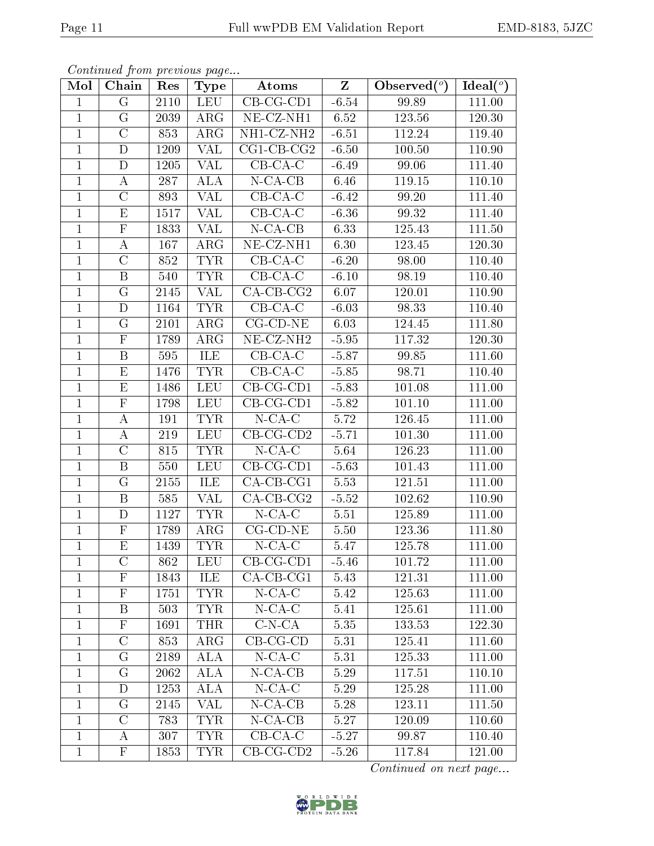| Continued from previous page |  |  |
|------------------------------|--|--|

| Mol            | Chain                   | Res  | <b>Type</b> | Atoms                       | $\mathbf{Z}$ | Observed $(°)$ | Ideal $(°)$ |
|----------------|-------------------------|------|-------------|-----------------------------|--------------|----------------|-------------|
| $\mathbf{1}$   | G                       | 2110 | <b>LEU</b>  | $CB-CG-CD1$                 | $-6.54$      | 99.89          | 111.00      |
| $\mathbf{1}$   | G                       | 2039 | ARG         | NE-CZ-NH1                   | 6.52         | 123.56         | 120.30      |
| $\mathbf{1}$   | $\overline{C}$          | 853  | ARG         | NH1-CZ-NH2                  | $-6.51$      | 112.24         | 119.40      |
| $\mathbf{1}$   | $\mathbf D$             | 1209 | VAL         | $\overline{CG1}$ -CB-CG2    | $-6.50$      | 100.50         | 110.90      |
| $\mathbf{1}$   | $\mathbf D$             | 1205 | <b>VAL</b>  | $CB-CA-C$                   | $-6.49$      | 99.06          | 111.40      |
| $\mathbf{1}$   | $\boldsymbol{A}$        | 287  | ALA         | $N$ -CA-CB                  | 6.46         | 119.15         | 110.10      |
| $\mathbf{1}$   | $\mathcal{C}$           | 893  | <b>VAL</b>  | $CB-CA-C$                   | $-6.42$      | 99.20          | 111.40      |
| $\mathbf{1}$   | E                       | 1517 | VAL         | $CB-CA-C$                   | $-6.36$      | 99.32          | 111.40      |
| $\mathbf{1}$   | $\mathbf F$             | 1833 | VAL         | $N$ -CA-CB                  | 6.33         | 125.43         | 111.50      |
| $\mathbf{1}$   | A                       | 167  | $\rm{ARG}$  | $NE- CZ-NH1$                | 6.30         | 123.45         | 120.30      |
| $\mathbf{1}$   | $\mathcal{C}$           | 852  | <b>TYR</b>  | $\overline{C}$ B-CA-C       | $-6.20$      | 98.00          | 110.40      |
| $\mathbf{1}$   | $\boldsymbol{B}$        | 540  | <b>TYR</b>  | $CB-CA-C$                   | $-6.10$      | 98.19          | 110.40      |
| $\mathbf{1}$   | $\mathbf G$             | 2145 | VAL         | $CA$ -CB-CG2                | 6.07         | 120.01         | 110.90      |
| $\mathbf{1}$   | $\mathbf D$             | 1164 | <b>TYR</b>  | $CB-CA-C$                   | $-6.03$      | 98.33          | 110.40      |
| $\mathbf{1}$   | G                       | 2101 | ARG         | $CG$ - $CD$ - $NE$          | 6.03         | 124.45         | 111.80      |
| $\mathbf{1}$   | $\mathbf F$             | 1789 | ARG         | NE-CZ-NH <sub>2</sub>       | $-5.95$      | 117.32         | 120.30      |
| $\mathbf{1}$   | $\, {\bf B}$            | 595  | ILE         | $CB$ -CA-C                  | $-5.87$      | 99.85          | 111.60      |
| $\mathbf{1}$   | $\mathbf E$             | 1476 | <b>TYR</b>  | $CB$ -CA-C                  | $-5.85$      | 98.71          | 110.40      |
| $\mathbf{1}$   | $\mathbf E$             | 1486 | <b>LEU</b>  | $CB-CG-CD1$                 | $-5.83$      | 101.08         | 111.00      |
| $\overline{1}$ | $\overline{F}$          | 1798 | <b>LEU</b>  | $CB-CG-CD1$                 | $-5.82$      | 101.10         | 111.00      |
| $\mathbf{1}$   | $\boldsymbol{A}$        | 191  | <b>TYR</b>  | $N$ -CA-C                   | 5.72         | 126.45         | 111.00      |
| $\mathbf{1}$   | $\boldsymbol{A}$        | 219  | <b>LEU</b>  | $CB-CG-CD2$                 | $-5.71$      | 101.30         | 111.00      |
| $\mathbf{1}$   | $\mathcal{C}$           | 815  | <b>TYR</b>  | $N$ -CA-C                   | 5.64         | 126.23         | 111.00      |
| $\overline{1}$ | $\boldsymbol{B}$        | 550  | <b>LEU</b>  | $CB-CG-CD1$                 | $-5.63$      | 101.43         | 111.00      |
| $\mathbf{1}$   | $\mathbf G$             | 2155 | ILE         | $CA-CB-CG1$                 | 5.53         | 121.51         | 111.00      |
| $\mathbf{1}$   | $\, {\bf B}$            | 585  | <b>VAL</b>  | $CA-CB-CG2$                 | $-5.52$      | 102.62         | 110.90      |
| $\mathbf{1}$   | D                       | 1127 | <b>TYR</b>  | $N$ -CA-C                   | 5.51         | 125.89         | 111.00      |
| $\mathbf{1}$   | $\mathbf F$             | 1789 | ARG         | $CG$ - $CD$ - $NE$          | 5.50         | 123.36         | 111.80      |
| $\overline{1}$ | $\overline{\mathrm{E}}$ | 1439 | <b>TYR</b>  | $N$ -CA-C                   | 5.47         | 125.78         | 111.00      |
| $\perp$        | $\mathcal{C}$           | 862  | LEU         | $CB-CG-CD1$                 | $-5.46$      | 101.72         | 111.00      |
| $\mathbf{1}$   | ${\bf F}$               | 1843 | ILE         | $CA$ -CB-CG1                | 5.43         | 121.31         | 111.00      |
| $\mathbf{1}$   | $\mathbf{F}$            | 1751 | <b>TYR</b>  | $N$ -CA-C                   | 5.42         | 125.63         | 111.00      |
| $\mathbf{1}$   | B                       | 503  | TYR.        | $N$ -CA-C                   | 5.41         | 125.61         | 111.00      |
| $\mathbf{1}$   | $\mathbf{F}$            | 1691 | <b>THR</b>  | $C-N-CA$                    | 5.35         | 133.53         | 122.30      |
| $\mathbf{1}$   | $\mathcal{C}$           | 853  | $\rm{ARG}$  | $CB-CG-CD$                  | 5.31         | 125.41         | 111.60      |
| $\mathbf{1}$   | G                       | 2189 | ALA         | $N$ - $CA$ - $C$            | 5.31         | 125.33         | 111.00      |
| $\mathbf{1}$   | $\rm G$                 | 2062 | ALA         | $\overline{\text{N-CA-CB}}$ | 5.29         | 117.51         | 110.10      |
| $\mathbf{1}$   | D                       | 1253 | <b>ALA</b>  | $N$ -CA-C                   | 5.29         | 125.28         | 111.00      |
| $\mathbf{1}$   | G                       | 2145 | VAL         | $N$ -CA-CB                  | 5.28         | 123.11         | 111.50      |
| $\mathbf 1$    | $\mathcal C$            | 783  | <b>TYR</b>  | $N$ -CA-CB                  | 5.27         | 120.09         | 110.60      |
| $\mathbf{1}$   | A                       | 307  | <b>TYR</b>  | $CB-CA-C$                   | $-5.27$      | 99.87          | 110.40      |
| $\mathbf{1}$   | $\mathbf{F}$            | 1853 | <b>TYR</b>  | $CB-CG-CD2$                 | $-5.26$      | 117.84         | 121.00      |

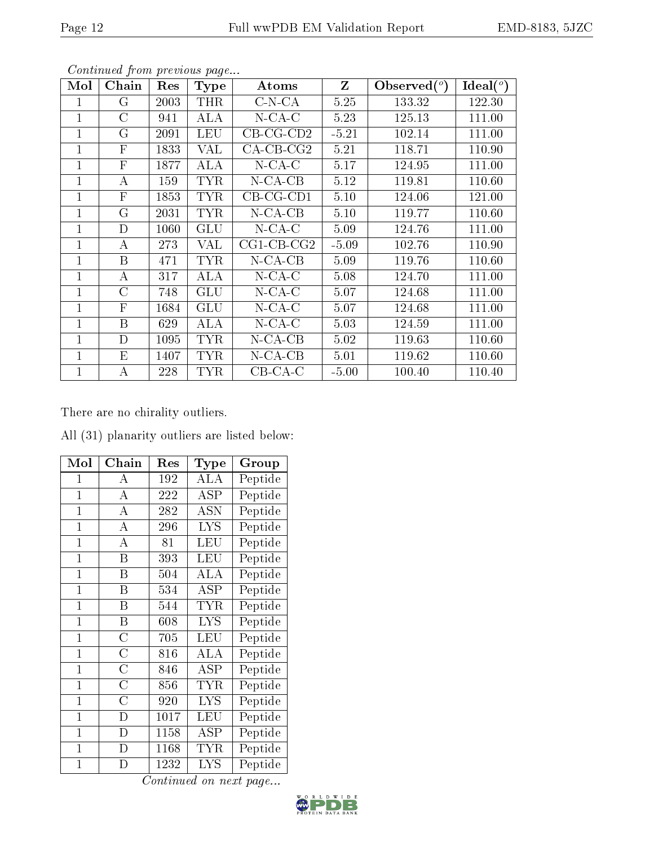| Mol          | Chain                     | Res  | <b>Type</b>  | Atoms                | Z       | Observed $(°)$ | $Ideal(^o)$ |
|--------------|---------------------------|------|--------------|----------------------|---------|----------------|-------------|
| 1            | G                         | 2003 | THR          | $C-N-CA$             | 5.25    | 133.32         | 122.30      |
| $\mathbf{1}$ | $\overline{C}$            | 941  | ALA          | $N$ -CA-C            | 5.23    | 125.13         | 111.00      |
| $\mathbf{1}$ | $\rm G$                   | 2091 | LEU          | $CB-CG-CD2$          | $-5.21$ | 102.14         | 111.00      |
| $\mathbf{1}$ | $\boldsymbol{\mathrm{F}}$ | 1833 | VAL          | $CA-CB-CG2$          | 5.21    | 118.71         | 110.90      |
| 1            | $\mathbf{F}$              | 1877 | ALA          | $N$ -CA-C            | 5.17    | 124.95         | 111.00      |
| 1            | А                         | 159  | <b>TYR</b>   | $N$ -CA-CB           | 5.12    | 119.81         | 110.60      |
| 1            | $\mathbf{F}$              | 1853 | <b>TYR</b>   | $CB-CG-CD1$          | 5.10    | 124.06         | 121.00      |
| 1            | $\mathbf G$               | 2031 | <b>TYR</b>   | $N$ -CA-CB           | 5.10    | 119.77         | 110.60      |
| 1            | D                         | 1060 | GLU          | $N$ -CA-C            | 5.09    | 124.76         | 111.00      |
| $\mathbf{1}$ | А                         | 273  | VAL          | $CG1$ - $CB$ - $CG2$ | $-5.09$ | 102.76         | 110.90      |
| $\mathbf{1}$ | B                         | 471  | <b>TYR</b>   | $N$ -CA-CB           | 5.09    | 119.76         | 110.60      |
| $\mathbf{1}$ | А                         | 317  | ALA          | $N$ -CA-C            | 5.08    | 124.70         | 111.00      |
| 1            | С                         | 748  | GLU          | $N$ -CA-C            | 5.07    | 124.68         | 111.00      |
| 1            | $\boldsymbol{\mathrm{F}}$ | 1684 | $_{\rm GLU}$ | $N$ -CA-C            | 5.07    | 124.68         | 111.00      |
| 1            | B                         | 629  | ALA          | $N$ -CA-C            | 5.03    | 124.59         | 111.00      |
| $\mathbf{1}$ | D                         | 1095 | <b>TYR</b>   | $N$ -CA-CB           | 5.02    | 119.63         | 110.60      |
| $\mathbf{1}$ | Ε                         | 1407 | <b>TYR</b>   | $N$ -CA-CB           | 5.01    | 119.62         | 110.60      |
| 1            | А                         | 228  | TYR          | $CB$ -CA-C           | $-5.00$ | 100.40         | 110.40      |

There are no chirality outliers.

All (31) planarity outliers are listed below:

| Mol            | ${\bf Chain}$      | Res  | Type       | Group                     |
|----------------|--------------------|------|------------|---------------------------|
| 1              | А                  | 192  | ALA        | Peptide                   |
| $\mathbf{1}$   | $\bf{A}$           | 222  | ASP        | Peptide                   |
| $\mathbf{1}$   | A                  | 282  | <b>ASN</b> | $\overline{\rm P}$ eptide |
| $\mathbf{1}$   | А                  | 296  | <b>LYS</b> | Peptide                   |
| $\overline{1}$ | A                  | 81   | LEU        | Peptide                   |
| $\overline{1}$ | Β                  | 393  | <b>LEU</b> | Peptide                   |
| $\mathbf 1$    | Β                  | 504  | ALA        | Peptide                   |
| $\mathbf 1$    | B                  | 534  | ASP        | Peptide                   |
| $\mathbf{1}$   | B                  | 544  | <b>TYR</b> | Peptide                   |
| $\mathbf 1$    | Β                  | 608  | <b>LYS</b> | Peptide                   |
| $\mathbf{1}$   | $\overline{\rm C}$ | 705  | LEU        | Peptide                   |
| $\overline{1}$ | $\rm{C}$           | 816  | ALA        | Peptide                   |
| $\mathbf 1$    | $\overline{\rm C}$ | 846  | ASP        | Peptide                   |
| $\mathbf 1$    | С                  | 856  | <b>TYR</b> | Peptide                   |
| $\mathbf{1}$   | $\overline{\rm C}$ | 920  | <b>LYS</b> | Peptide                   |
| $\mathbf{1}$   | D                  | 1017 | LEU        | Peptide                   |
| $\mathbf 1$    | D                  | 1158 | ASP        | Peptide                   |
| $\mathbf{1}$   | $\overline{D}$     | 1168 | TYR        | Peptide                   |
| $\mathbf 1$    | D                  | 1232 | <b>LYS</b> | Peptide                   |

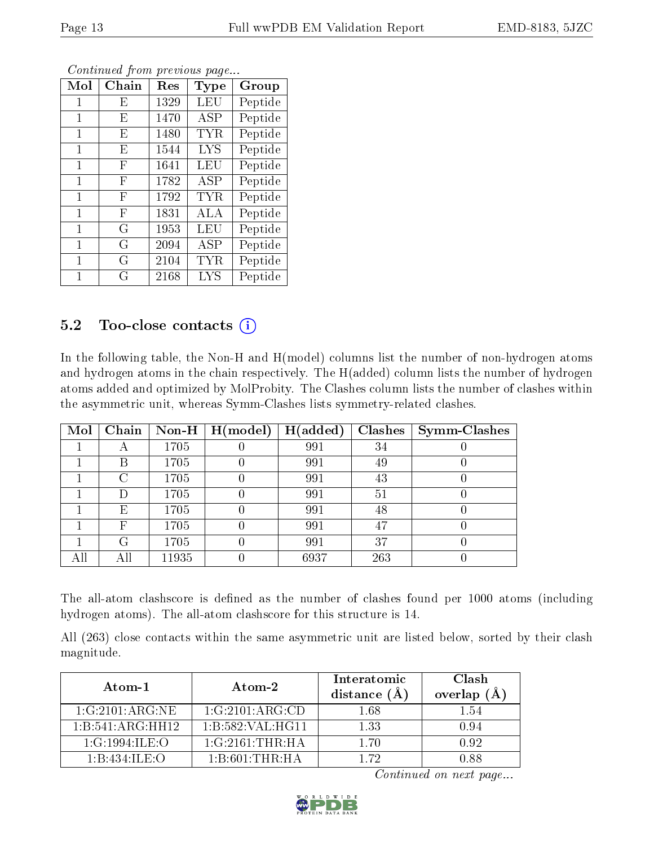| Mol | Chain | Res  | Type       | Group   |
|-----|-------|------|------------|---------|
| 1   | E     | 1329 | LEU        | Peptide |
| 1   | E     | 1470 | ASP        | Peptide |
| 1   | E     | 1480 | TYR.       | Peptide |
| 1   | E     | 1544 | <b>LYS</b> | Peptide |
| 1   | F     | 1641 | LEU        | Peptide |
| 1   | F     | 1782 | ASP        | Peptide |
| 1   | F     | 1792 | TYR        | Peptide |
| 1   | F     | 1831 | ALA        | Peptide |
| 1   | G     | 1953 | LEU        | Peptide |
| 1   | G     | 2094 | ASP        | Peptide |
| 1   | G     | 2104 | TYR.       | Peptide |
| 1   | G     | 2168 | <b>LYS</b> | Peptide |

### 5.2 Too-close contacts  $(i)$

In the following table, the Non-H and H(model) columns list the number of non-hydrogen atoms and hydrogen atoms in the chain respectively. The H(added) column lists the number of hydrogen atoms added and optimized by MolProbity. The Clashes column lists the number of clashes within the asymmetric unit, whereas Symm-Clashes lists symmetry-related clashes.

| Mol | Chain |       | Non-H $\mid$ H(model) | H(added) | <b>Clashes</b> | <b>Symm-Clashes</b> |
|-----|-------|-------|-----------------------|----------|----------------|---------------------|
|     | A     | 1705  |                       | 991      | 34             |                     |
|     | В     | 1705  |                       | 991      | 49             |                     |
|     | C     | 1705  |                       | 991      | 43             |                     |
|     | Ð     | 1705  |                       | 991      | 51             |                     |
|     | Е     | 1705  |                       | 991      | 48             |                     |
|     | F     | 1705  |                       | 991      | 47             |                     |
|     | G     | 1705  |                       | 991      | 37             |                     |
|     | All   | 11935 |                       | 6937     | 263            |                     |

The all-atom clashscore is defined as the number of clashes found per 1000 atoms (including hydrogen atoms). The all-atom clashscore for this structure is 14.

All (263) close contacts within the same asymmetric unit are listed below, sorted by their clash magnitude.

| Atom-1           | Atom-2                                   | Interatomic<br>distance $(A)$ | Clash<br>overlap $(A)$ |
|------------------|------------------------------------------|-------------------------------|------------------------|
| 1:G:2101:ARG:NE  | 1:G:2101:ARG:CD                          | 1.68                          | 1.54                   |
| 1:B:541:ARG:HH12 | 1:B:582:VAL:HG11                         | 1.33                          | 0.94                   |
| 1:G:1994:ILE:O   | $1:G:2161:THR:H$ A                       | 170                           | 0.92                   |
| 1:B:434:JLE:O    | $1 \cdot B \cdot 601 \cdot THR \cdot HA$ | 172                           | 0.88                   |

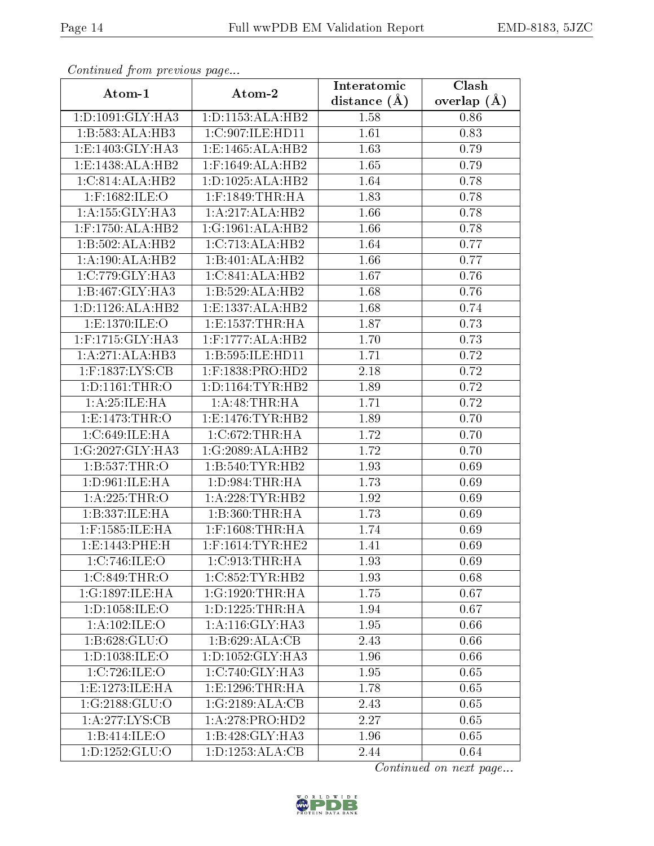| continuou promonous pago |                      | Interatomic      | Clash         |
|--------------------------|----------------------|------------------|---------------|
| Atom-1                   | Atom-2               | distance $(\AA)$ | overlap $(A)$ |
| 1:D:1091:GLY:HA3         | 1:D:1153:ALA:HB2     | 1.58             | 0.86          |
| 1:B:583:ALA:HB3          | 1:C:907:ILE:HD11     | 1.61             | 0.83          |
| 1:E:1403:GLY:HA3         | 1:E:1465:ALA:HB2     | 1.63             | 0.79          |
| 1:E:1438:ALA:HB2         | 1:F:1649:ALA:HB2     | 1.65             | 0.79          |
| 1:C:814:ALA:HB2          | 1:D:1025:ALA:HB2     | 1.64             | 0.78          |
| 1:F:1682:ILE:O           | $1:$ F:1849:THR:HA   | 1.83             | 0.78          |
| 1:A:155:GLY:HA3          | 1:A:217:ALA:HB2      | 1.66             | 0.78          |
| $1:$ F:1750:ALA:HB2      | 1:G:1961:ALA:HB2     | 1.66             | 0.78          |
| 1:B:502:ALA:HB2          | 1:C:713:ALA:HB2      | 1.64             | 0.77          |
| 1:A:190:ALA:HB2          | 1:B:401:ALA:HB2      | 1.66             | 0.77          |
| 1:C:779:GLY:HA3          | 1:C:841:ALA:HB2      | 1.67             | 0.76          |
| 1:B:467:GLY:HA3          | 1:B:529:ALA:HB2      | 1.68             | 0.76          |
| 1: D: 1126: ALA: HB2     | 1:E:1337:ALA:HB2     | 1.68             | 0.74          |
| 1:E:1370:ILE:O           | 1: E: 1537: THR: HA  | 1.87             | 0.73          |
| 1:F:1715:GLY:HA3         | $1:$ F:1777:ALA:HB2  | 1.70             | 0.73          |
| 1:A:271:ALA:HB3          | 1:B:595:ILE:HD11     | 1.71             | 0.72          |
| $1:$ F:1837:LYS:CB       | $1:$ F:1838:PRO:HD2  | 2.18             | 0.72          |
| 1: D: 1161: THR: O       | 1: D: 1164: TYR: HB2 | 1.89             | 0.72          |
| 1: A:25: ILE: HA         | 1:A:48:THR:HA        | 1.71             | 0.72          |
| 1:E:1473:THR:O           | 1: E: 1476: TYR: HB2 | 1.89             | 0.70          |
| 1:C:649:ILE:HA           | 1:C:672:THR:HA       | 1.72             | 0.70          |
| 1:G:2027:GLY:HA3         | 1:G:2089:ALA:HB2     | 1.72             | 0.70          |
| 1: B: 537: THR:O         | 1:B:540:TYR:HB2      | 1.93             | 0.69          |
| 1: D:961: ILE: HA        | 1: D:984:THR:HA      | 1.73             | 0.69          |
| 1:A:225:THR:O            | 1: A:228:TYR:HB2     | 1.92             | 0.69          |
| 1:B:337:ILE:HA           | 1:B:360:THR:HA       | 1.73             | 0.69          |
| $1:$ F:1585:ILE:HA       | $1:$ F:1608:THR:HA   | 1.74             | 0.69          |
| 1:E:1443:PHE:H           | $1:$ F:1614:TYR:HE2  | 1.41             | 0.69          |
| 1:C:746:ILE:O            | 1:C:913:THR:HA       | 1.93             | 0.69          |
| 1:C:849:THR:O            | 1:C:852:TYR:HB2      | 1.93             | 0.68          |
| 1:G:1897:ILE:HA          | 1:G:1920:THR:HA      | 1.75             | 0.67          |
| 1: D: 1058: ILE:O        | 1: D: 1225: THR: HA  | 1.94             | 0.67          |
| 1: A: 102: ILE: O        | 1:A:116:GLY:HA3      | 1.95             | 0.66          |
| 1:B:628:GLU:O            | 1:B:629:ALA:CB       | 2.43             | 0.66          |
| 1: D: 1038: ILE:O        | 1: D: 1052: GLY: HA3 | 1.96             | 0.66          |
| 1:C:726:ILE:O            | 1:C:740:GLY:HA3      | 1.95             | 0.65          |
| 1:E:1273:JLE:HA          | 1: E: 1296: THR: HA  | 1.78             | 0.65          |
| 1:G:2188:GLU:O           | 1:G:2189:ALA:CB      | 2.43             | 0.65          |
| 1: A:277: LYS: CB        | 1:A:278:PRO:HD2      | 2.27             | 0.65          |
| 1:B:414:ILE:O            | 1:B:428:GLY:HA3      | 1.96             | 0.65          |
| 1:D:1252:GLU:O           | 1:D:1253:ALA:CB      | 2.44             | 0.64          |

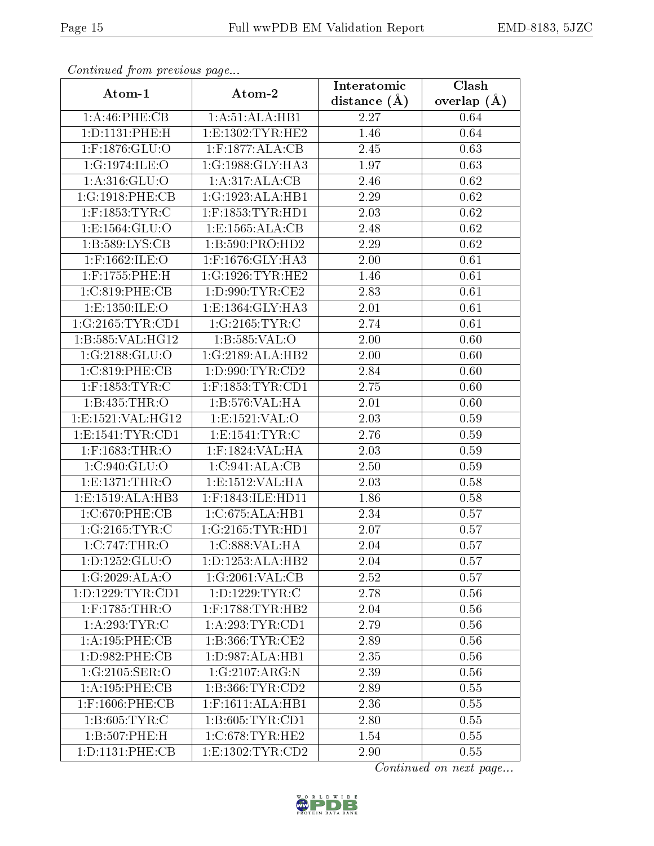| $\frac{1}{2}$        |                      | Interatomic    | $\overline{\text{Clash}}$ |
|----------------------|----------------------|----------------|---------------------------|
| Atom-1               | Atom-2               | distance $(A)$ | overlap $(\AA)$           |
| 1:A:46:PHE:CB        | 1:A:51:ALA:HB1       | 2.27           | 0.64                      |
| 1:D:1131:PHE:H       | 1: E: 1302: TYR: HE2 | 1.46           | 0.64                      |
| 1:F:1876:GLU:O       | $1:$ F:1877:ALA:CB   | 2.45           | 0.63                      |
| 1:G:1974:ILE:O       | 1:G:1988:GLY:HA3     | 1.97           | 0.63                      |
| 1:A:316:GLU:O        | 1:A:317:ALA:CB       | 2.46           | 0.62                      |
| 1:G:1918:PHE:CB      | 1:G:1923:ALA:HB1     | 2.29           | 0.62                      |
| $1:$ F:1853:TYR:C    | $1:$ F:1853:TYR:HD1  | 2.03           | 0.62                      |
| 1: E: 1564: GLU: O   | 1: E: 1565: ALA: CB  | 2.48           | 0.62                      |
| 1: B: 589: LYS: CB   | 1:B:590:PRO:HD2      | 2.29           | 0.62                      |
| $1:$ F:1662:ILE:O    | 1:F:1676:GLY:HA3     | 2.00           | 0.61                      |
| 1:F:1755:PHE:H       | 1:G:1926:TYR:HE2     | 1.46           | 0.61                      |
| 1:C:819:PHE:CB       | 1: D:990: TYR: CE2   | 2.83           | 0.61                      |
| 1:E:1350:ILE:O       | 1:E:1364:GLY:HA3     | 2.01           | 0.61                      |
| 1:G:2165:TYR:CD1     | 1:G:2165:TYR:C       | 2.74           | 0.61                      |
| 1:B:585:VAL:HG12     | 1:B:585:VAL:O        | 2.00           | 0.60                      |
| 1:G:2188:GLU:O       | 1:G:2189:ALA:HB2     | 2.00           | 0.60                      |
| 1:C:819:PHE:CB       | 1: D:990: TYR: CD2   | 2.84           | 0.60                      |
| $1:$ F:1853:TYR:C    | $1:$ F:1853:TYR:CD1  | 2.75           | 0.60                      |
| 1:B:435:THR:O        | 1:B:576:VAL:HA       | 2.01           | 0.60                      |
| 1:E:1521:VAL:HG12    | 1:E:1521:VAL:O       | 2.03           | 0.59                      |
| 1: E: 1541: TYR: CD1 | 1: E: 1541: TYR: C   | 2.76           | 0.59                      |
| 1:F:1683:THR:O       | 1:F:1824:VAL:HA      | 2.03           | 0.59                      |
| 1:C:940:GLU:O        | 1:C:941:ALA:CB       | 2.50           | 0.59                      |
| 1:E:1371:THR:O       | 1:E:1512:VAL:HA      | 2.03           | 0.58                      |
| 1:E:1519:ALA:HB3     | $1:$ F:1843:ILE:HD11 | 1.86           | 0.58                      |
| 1:C:670:PHE:CB       | 1:C:675:ALA:HB1      | 2.34           | 0.57                      |
| 1:G:2165:TYR:C       | 1:G:2165:TYR:HD1     | 2.07           | 0.57                      |
| 1:C:747:THR:O        | 1:C:888:VAL:HA       | 2.04           | 0.57                      |
| 1: D: 1252: GLU: O   | 1: D: 1253: ALA: HB2 | 2.04           | 0.57                      |
| 1:G:2029:ALA:O       | 1:G:2061:VAL:CB      | 2.52           | 0.57                      |
| 1: D: 1229: TYR: CD1 | 1: D: 1229: TYR: C   | 2.78           | 0.56                      |
| $1:$ F:1785:THR:O    | $1:$ F:1788:TYR:HB2  | 2.04           | 0.56                      |
| 1: A:293:TYR:C       | 1:A:293:TYR:CD1      | 2.79           | 0.56                      |
| 1:A:195:PHE:CB       | 1: B: 366: TYR: CE2  | 2.89           | 0.56                      |
| 1: D: 982: PHE: CB   | 1:D:987:ALA:HB1      | 2.35           | 0.56                      |
| 1:G:2105:SER:O       | 1:G:2107:ARG:N       | 2.39           | 0.56                      |
| 1:A:195:PHE:CB       | 1:B:366:TYR:CD2      | 2.89           | 0.55                      |
| $1:$ F:1606:PHE:CB   | 1:F:1611:ALA:HB1     | 2.36           | 0.55                      |
| 1: B:605: TYR: C     | 1: B: 605: TYR: CD1  | 2.80           | 0.55                      |
| 1:B:507:PHE:H        | $1:C:678$ : TYR: HE2 | 1.54           | 0.55                      |
| 1: D: 1131: PHE: CB  | 1:E:1302:TYR:CD2     | 2.90           | 0.55                      |

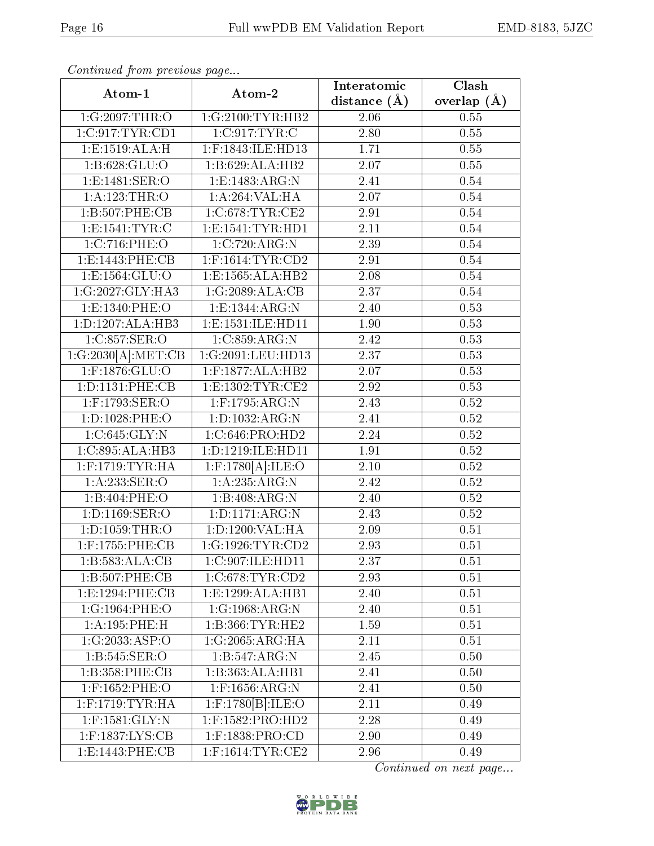| Atom-1                | $\mathbf{r}$ . $\mathbf{r}$<br>Atom-2 | Interatomic      | Clash           |
|-----------------------|---------------------------------------|------------------|-----------------|
|                       |                                       | distance $(\AA)$ | overlap $(\AA)$ |
| 1:G:2097:THR:O        | 1:G:2100:TYR:HB2                      | 2.06             | 0.55            |
| 1:C:917:TYR:CD1       | 1:C:917:TYR:C                         | 2.80             | 0.55            |
| 1: E: 1519: ALA:H     | 1:F:1843:ILE:HD13                     | 1.71             | 0.55            |
| 1: B:628: GLU:O       | 1:B:629:ALA:HB2                       | 2.07             | 0.55            |
| 1:E:1481:SER:O        | 1:E:1483:ARG:N                        | 2.41             | 0.54            |
| 1:A:123:THR:O         | 1:A:264:VAL:HA                        | 2.07             | 0.54            |
| 1:B:507:PHE:CB        | 1:C:678:TYR:CE2                       | 2.91             | 0.54            |
| 1: E: 1541: TYR: C    | 1: E: 1541: TYR: HD1                  | 2.11             | 0.54            |
| 1:C:716:PHE:O         | 1:C:720:ARG:N                         | 2.39             | 0.54            |
| 1:E:1443:PHE:CB       | $1:$ F:1614:TYR:CD2                   | 2.91             | 0.54            |
| 1:E:1564:GLU:O        | 1:E:1565:ALA:HB2                      | 2.08             | 0.54            |
| 1:G:2027:GLY:HA3      | 1:G:2089:ALA:CB                       | 2.37             | 0.54            |
| 1:E:1340:PHE:O        | 1:E:1344:ARG:N                        | 2.40             | 0.53            |
| 1:D:1207:ALA:HB3      | 1:E:1531:ILE:HD11                     | 1.90             | 0.53            |
| 1:C:857:SER:O         | 1:C:859:ARG:N                         | 2.42             | 0.53            |
| 1:G:2030[A]:MET:CB    | 1:G:2091:LEU:HD13                     | 2.37             | 0.53            |
| 1:F:1876:GLU:O        | 1:F:1877:ALA:HB2                      | 2.07             | 0.53            |
| 1: D: 1131: PHE: CB   | 1:E:1302:TYR:CE2                      | 2.92             | 0.53            |
| 1:F:1793:SER:O        | $1:$ F:1795:ARG:N                     | 2.43             | 0.52            |
| 1:D:1028:PHE:O        | 1:D:1032:ARG:N                        | 2.41             | 0.52            |
| 1:C:645:GLY:N         | 1:C:646:PRO:HD2                       | 2.24             | 0.52            |
| 1:C:895:ALA:HB3       | 1:D:1219:ILE:HD11                     | 1.91             | 0.52            |
| $1:$ F:1719:TYR:HA    | $1:$ F:1780 $[A]$ :ILE:O              | 2.10             | 0.52            |
| 1:A:233:SER:O         | 1:A:235:ARG:N                         | 2.42             | 0.52            |
| 1:B:404:PHE:O         | 1:B:408:ARG:N                         | 2.40             | 0.52            |
| 1:D:1169:SER:O        | 1:D:1171:ARG:N                        | 2.43             | 0.52            |
| $1: D: 1059$ : THR: O | 1: D: 1200: VAL: HA                   | 2.09             | 0.51            |
| $1:$ F:1755:PHE:CB    | 1:G:1926:TYR:CD2                      | 2.93             | 0.51            |
| 1:B:583:ALA:CB        | 1:C:907:ILE:HD11                      | 2.37             | 0.51            |
| 1:B:507:PHE:CB        | 1:C:678:TYR:CD2                       | 2.93             | 0.51            |
| 1:E:1294:PHE:CB       | 1:E:1299:ALA:HB1                      | 2.40             | 0.51            |
| 1:G:1964:PHE:O        | 1:G:1968:ARG:N                        | 2.40             | 0.51            |
| 1:A:195:PHE:H         | 1: B: 366: TYR: HE2                   | 1.59             | 0.51            |
| 1:G:2033:ASP:O        | 1:G:2065:ARG:HA                       | 2.11             | 0.51            |
| 1:B:545:SER:O         | 1:B:547:ARG:N                         | 2.45             | 0.50            |
| 1:B:358:PHE:CB        | 1:B:363:ALA:HB1                       | 2.41             | 0.50            |
| 1:F:1652:PHE:O        | $1:$ F:1656:ARG:N                     | 2.41             | 0.50            |
| $1:$ F:1719:TYR:HA    | $1:$ F:1780 $[B]$ :ILE:O              | 2.11             | 0.49            |
| $1:$ F:1581:GLY:N     | 1:F:1582:PRO:HD2                      | 2.28             | 0.49            |
| $1:$ F:1837:LYS:CB    | $1:$ F:1838:PRO:CD                    | 2.90             | 0.49            |
| 1:E:1443:PHE:CB       | $1:$ F:1614:TYR:CE2                   | 2.96             | 0.49            |

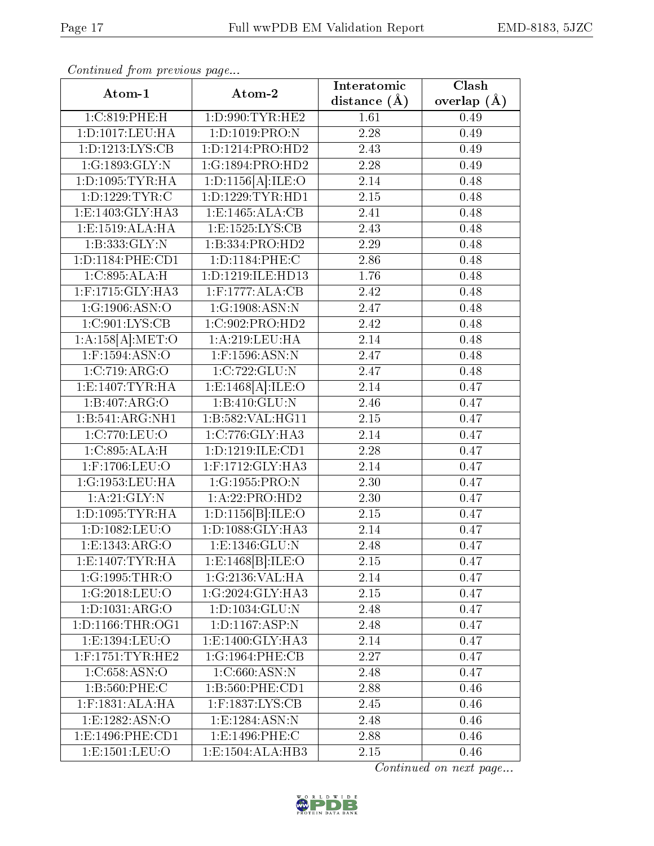| Atom-1                 | Atom-2                           |                  | Clash           |
|------------------------|----------------------------------|------------------|-----------------|
|                        |                                  | distance $(\AA)$ | overlap $(\AA)$ |
| 1:C:819:PHE:H          | 1: D: 990: TYR: HE2              | 1.61             | 0.49            |
| 1:D:1017:LEU:HA        | 1: D: 1019: PRO: N               | 2.28             | 0.49            |
| 1:D:1213:LYS:CB        | 1:D:1214:PRO:HD2                 | 2.43             | 0.49            |
| 1:G:1893:GLY:N         | 1:G:1894:PRO:HD2                 | 2.28             | 0.49            |
| 1: D: 1095: TYR: HA    | 1: D: 1156[A]: ILE: O            | 2.14             | 0.48            |
| 1: D: 1229: TYR: C     | 1:D:1229:TYR:HDI                 | $2.15\,$         | 0.48            |
| 1:E:1403:GLY:HA3       | 1:E:1465:ALA:CB                  | 2.41             | 0.48            |
| 1: E: 1519: ALA: HA    | $1: E: 1525: LYS: \overline{CB}$ | 2.43             | 0.48            |
| 1: B: 333: GLY:N       | 1:B:334:PRO:HD2                  | 2.29             | 0.48            |
| 1: D: 1184: PHE: CD1   | 1: D: 1184: PHE: C               | 2.86             | 0.48            |
| 1:C:895:ALA:H          | 1:D:1219:ILE:HD13                | 1.76             | 0.48            |
| $1:$ F:1715: $GLY:HA3$ | $1:$ F:1777:ALA:CB               | 2.42             | 0.48            |
| 1:G:1906:ASN:O         | 1:G:1908:ASN:N                   | 2.47             | 0.48            |
| 1:C:901:LYS:CB         | 1:C:902:PRO:HD2                  | 2.42             | 0.48            |
| 1:A:158[A].MET:O       | 1:A:219:LEU:HA                   | 2.14             | 0.48            |
| 1:F:1594:ASN:O         | $1:$ F:1596:ASN:N                | 2.47             | 0.48            |
| 1:C:719:ARG:O          | 1:C:722:GLU:N                    | 2.47             | 0.48            |
| 1:E:1407:TYR:HA        | 1: E: 1468[A]: ILE: O            | 2.14             | 0.47            |
| 1:B:407:ARG:O          | 1: B: 410: GLU:N                 | 2.46             | 0.47            |
| 1:B:541:ARG:NH1        | 1:B:582:VAL:HG11                 | 2.15             | 0.47            |
| 1:C:770:LEU:O          | 1:C:776:GLY:HA3                  | 2.14             | 0.47            |
| 1:C:895:ALA:H          | 1: D: 1219: ILE: CD1             | 2.28             | 0.47            |
| 1:F:1706:LEU:O         | 1:F:1712:GLY:HA3                 | 2.14             | 0.47            |
| 1:G:1953:LEU:HA        | 1:G:1955:PRO:N                   | 2.30             | 0.47            |
| 1:A:21:GLY:N           | 1:A:22:PRO:HD2                   | 2.30             | 0.47            |
| 1: D: 1095: TYR: HA    | 1:D:1156[B]:ILE:O                | 2.15             | 0.47            |
| 1:D:1082:LEU:O         | 1: D: 1088: GLY: HA3             | 2.14             | 0.47            |
| 1:E:1343:ARG:O         | 1: E: 1346: GLU: N               | 2.48             | 0.47            |
| 1: E: 1407: TYR: HA    | 1: E: 1468  B : ILE: O           | 2.15             | 0.47            |
| 1:G:1995:THR:O         | 1:G:2136:VAL:HA                  | 2.14             | 0.47            |
| 1:G:2018:LEU:O         | 1:G:2024:GLY:HA3                 | $2.15\,$         | 0.47            |
| 1:D:1031:ARG:O         | 1:D:1034:GLU:N                   | 2.48             | 0.47            |
| 1:D:1166:THR:OG1       | 1: D: 1167: ASP: N               | 2.48             | 0.47            |
| 1:E:1394:LEU:O         | 1: E: 1400: GLY: HA3             | 2.14             | 0.47            |
| $1:$ F:1751:TYR:HE2    | 1:G:1964:PHE:CB                  | 2.27             | 0.47            |
| 1: C: 658: ASN:O       | 1:C:660:ASN:N                    | 2.48             | 0.47            |
| 1:B:560:PHE:C          | 1:B:560:PHE:CD1                  | 2.88             | 0.46            |
| $1:$ F:1831:ALA:HA     | 1:F:1837:LYS:CB                  | 2.45             | 0.46            |
| 1:E:1282:ASN:O         | 1:E:1284:ASN:N                   | 2.48             | 0.46            |
| 1:E:1496:PHE:CD1       | 1:E:1496:PHE:C                   | 2.88             | 0.46            |
| 1:E:1501:LEU:O         | 1:E:1504:ALA:HB3                 | 2.15             | 0.46            |

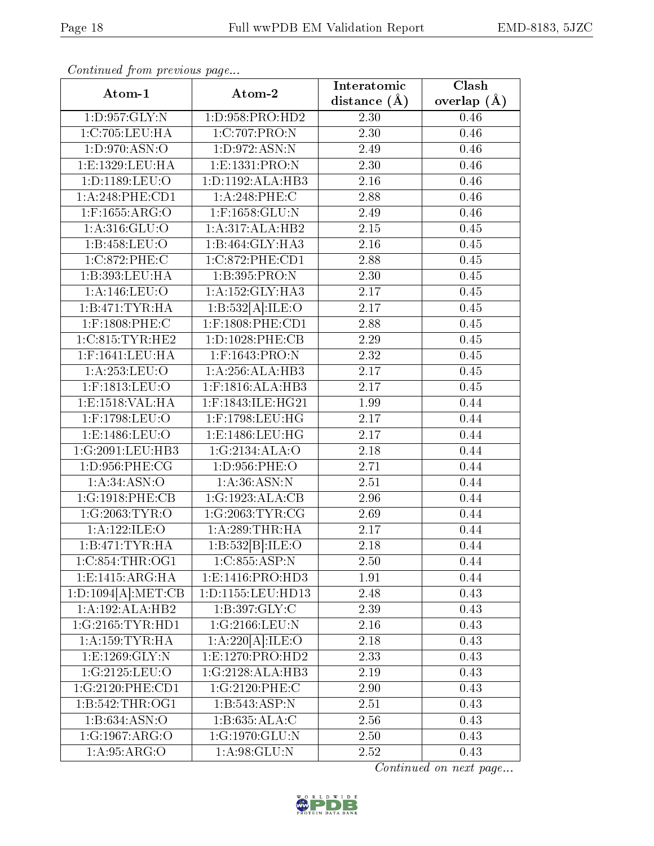| Atom-1                    | $\frac{1}{2}$<br>Atom-2              |                   | $\overline{\text{Clash}}$ |
|---------------------------|--------------------------------------|-------------------|---------------------------|
|                           |                                      | distance $(\AA)$  | overlap $(\AA)$           |
| 1:D:957:GLY:N             | 1:D:958:PRO:HD2                      | 2.30              | $0.46\,$                  |
| 1:C:705:LEU:HA            | 1:C:707:PRO:N                        | 2.30              | 0.46                      |
| 1:D:970:ASN:O             | 1:D:972:ASN:N                        | 2.49              | 0.46                      |
| 1:E:1329:LEU:HA           | 1:E:1331:PRO:N                       | 2.30              | 0.46                      |
| 1:D:1189:LEU:O            | 1:D:1192:ALA:HB3                     | 2.16              | 0.46                      |
| 1:A:248:PHE:CD1           | $1: A:248:$ PHE:C                    | 2.88              | 0.46                      |
| $1:$ F:1655:ARG:O         | 1:F:1658:GLU:N                       | 2.49              | 0.46                      |
| 1: A:316: GLU:O           | 1:A:317:ALA:HB2                      | 2.15              | 0.45                      |
| 1:B:458:LEU:O             | 1:B:464:GLY:HA3                      | 2.16              | 0.45                      |
| 1:C:872:PHE:C             | 1:C:872:PHE:CD1                      | 2.88              | 0.45                      |
| 1:B:393:LEU:HA            | 1:B:395:PRO:N                        | 2.30              | 0.45                      |
| 1:A:146:LEU:O             | 1:A:152:GLY:HA3                      | $\overline{2.17}$ | 0.45                      |
| 1:B:471:TYR:HA            | 1:B:532[A]:ILE:O                     | 2.17              | 0.45                      |
| 1:F:1808:PHE:C            | $1:$ F:1808:PHE:CD1                  | 2.88              | 0.45                      |
| 1:C:815:TYR:HE2           | 1: D: 1028: PHE: CB                  | 2.29              | 0.45                      |
| $1:$ F:1641:LEU:HA        | 1:F:1643:PRO:N                       | 2.32              | 0.45                      |
| 1:A:253:LEU:O             | 1:A:256:ALA:HB3                      | 2.17              | 0.45                      |
| 1:F:1813:LEU:O            | 1:F:1816:ALA:HB3                     | 2.17              | 0.45                      |
| 1:E:1518:VAL:HA           | 1:F:1843:ILE:HG21                    | 1.99              | 0.44                      |
| 1:F:1798:LEU:O            | 1:F:1798:LEU:HG                      | 2.17              | 0.44                      |
| 1:E:1486:LEU:O            | 1:E:1486:LEU:HG                      | 2.17              | 0.44                      |
| 1:G:2091:LEU:HB3          | 1:G:2134:ALA:O                       | 2.18              | 0.44                      |
| 1:D:956:PHE:CG            | 1:D:956:PHE:O                        | 2.71              | 0.44                      |
| 1: A:34: ASN:O            | 1: A:36: ASN: N                      | 2.51              | 0.44                      |
| 1:G:1918:PHE:CB           | 1:G:1923:ALA:CB                      | 2.96              | 0.44                      |
| 1:G:2063:TYR:O            | 1:G:2063:TYR:CG                      | 2.69              | 0.44                      |
| 1:A:122:ILE:O             | 1: A:289:THR:HA                      | 2.17              | 0.44                      |
| 1:B:471:TYR:HA            | 1:B:532[B]:ILE:O                     | 2.18              | 0.44                      |
| 1:C:854:THR:OG1           | 1:C:855:ASP:N                        | 2.50              | 0.44                      |
| 1: E:1415: ARG:HA         | 1:E:1416:PRO:HD3                     | 1.91              | 0.44                      |
| 1:D:1094[A]:MET:CB        | 1:D:1155:LEU:HD13                    | 2.48              | 0.43                      |
| 1:A:192:ALA:HB2           | 1: B: 397: GLY: C                    | 2.39              | 0.43                      |
| 1:G:2165:TYR:HDI          | 1:G:2166:LEU:N                       | 2.16              | 0.43                      |
| 1:A:159:TYR:HA            | 1:A:220[A]:ILE:O                     | 2.18              | 0.43                      |
| 1:E:1269:GLY:N            | 1:E:1270:PRO:HD2                     | 2.33              | 0.43                      |
| 1:G:2125:LEU:O            | $1:G:2128:\overline{\text{ALA:HB3}}$ | 2.19              | 0.43                      |
| 1:G:2120:PHE:CD1          | 1:G:2120:PHE:C                       | 2.90              | 0.43                      |
| 1: B:542:THR:OG1          | 1:B:543:ASP:N                        | 2.51              | 0.43                      |
| 1:B:634:ASN:O             | 1:B:635:ALA:C                        | 2.56              | 0.43                      |
| 1:G:1967:ARG:O            | 1:G:1970:GLU:N                       | 2.50              | 0.43                      |
| $1:A.\overline{95:ARG:O}$ | 1: A:98: GLU:N                       | 2.52              | 0.43                      |

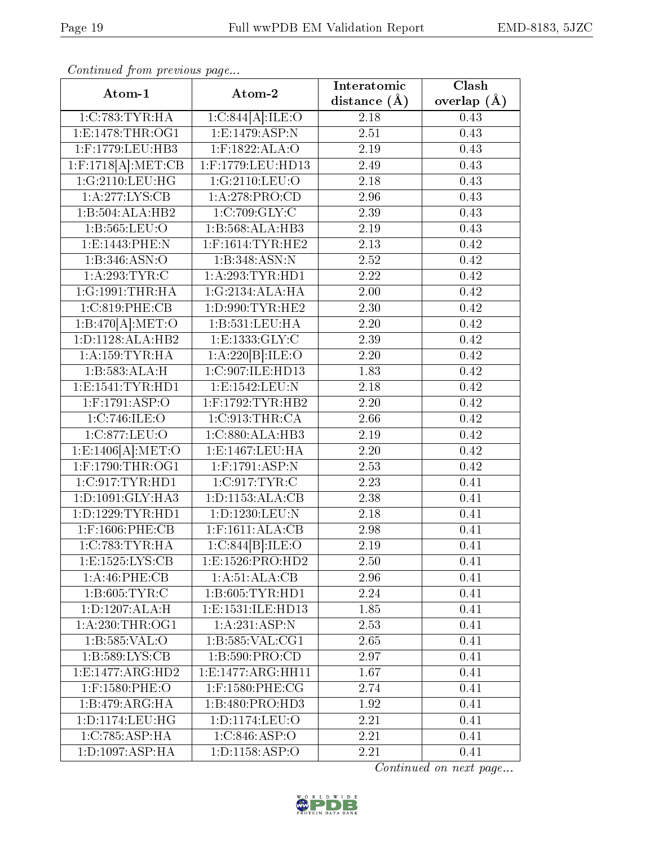| $\frac{1}{2}$<br>Atom-1 | Atom-2                            | Interatomic      | Clash           |
|-------------------------|-----------------------------------|------------------|-----------------|
|                         |                                   | distance $(\AA)$ | overlap $(\AA)$ |
| 1:C:783:TYR:HA          | 1:C:844[A]:ILE:O                  | 2.18             | 0.43            |
| 1: E: 1478: THR: OG1    | 1: E: 1479: <b>ASP</b> : <b>N</b> | 2.51             | 0.43            |
| 1:F:1779:LEU:HB3        | $1:$ F:1822:ALA:O                 | 2.19             | 0.43            |
| $1:$ F:1718[A]:MET:CB   | 1:F:1779:LEU:HD13                 | 2.49             | 0.43            |
| 1:G:2110:LEU:HG         | 1:G:2110:LEU:O                    | 2.18             | 0.43            |
| 1:A:277:LYS:CB          | 1: A:278: PRO:CD                  | 2.96             | 0.43            |
| 1:B:504:ALA:HB2         | 1:C:709:GLY:C                     | 2.39             | 0.43            |
| 1:B:565:LEU:O           | 1:B:568:ALA:HB3                   | 2.19             | 0.43            |
| 1:E:1443:PHE:N          | $1:$ F:1614:TYR:HE2               | 2.13             | 0.42            |
| 1:B:346:ASN:O           | 1:B:348:ASN:N                     | $2.52\,$         | 0.42            |
| 1: A:293:TYR:C          | 1: A:293:TYR:HD1                  | 2.22             | 0.42            |
| 1:G:1991:THR:HA         | 1:G:2134:ALA:HA                   | 2.00             | 0.42            |
| 1:C:819:PHE:CB          | 1: D:990: TYR: HE2                | 2.30             | 0.42            |
| 1:B:470[A]:MET:O        | 1:B:531:LEU:HA                    | 2.20             | 0.42            |
| 1: D: 1128: ALA: HB2    | 1:E:1333:GLY:C                    | 2.39             | 0.42            |
| 1: A: 159: TYR: HA      | 1:A:220[B]:ILE:O                  | 2.20             | 0.42            |
| 1:B:583:ALA:H           | 1:C:907:ILE:HD13                  | 1.83             | 0.42            |
| 1:E:1541:TYR:HD1        | 1:E:1542:LEU:N                    | 2.18             | 0.42            |
| 1:F:1791:ASP:O          | $1:$ F:1792:TYR:HB2               | 2.20             | 0.42            |
| 1:C:746:ILE:O           | 1:C:913:THR:CA                    | 2.66             | 0.42            |
| 1:C:877:LEU:O           | 1:C:880:ALA:HB3                   | 2.19             | 0.42            |
| 1: E: 1406[A]: MET:O    | 1:E:1467:LEU:HA                   | 2.20             | 0.42            |
| 1:F:1790:THR:OG1        | $1:$ F:1791:ASP:N                 | 2.53             | 0.42            |
| 1:C:917:TYR:HDI         | 1:C:917:TYR:C                     | 2.23             | 0.41            |
| 1: D: 1091: GLY: HA3    | 1: D: 1153: ALA: CB               | 2.38             | 0.41            |
| 1: D: 1229: TYR: HD1    | 1:D:1230:LEU:N                    | 2.18             | 0.41            |
| $1:$ F:1606:PHE:CB      | $1:$ F:1611:ALA:CB                | 2.98             | 0.41            |
| 1:C:783:TYR:HA          | 1:C:844[B]:ILE:O                  | 2.19             | 0.41            |
| 1:E:1525:LYS:CB         | 1: E: 1526: PRO: HD2              | 2.50             | 0.41            |
| 1:A:46:PHE:CB           | 1:A:51:ALA:CB                     | 2.96             | 0.41            |
| 1: B:605: TYR: C        | 1:B:605:TYR:HD1                   | 2.24             | 0.41            |
| 1: D: 1207: ALA:H       | 1: E: 1531: ILE: HD13             | 1.85             | 0.41            |
| 1: A:230:THR:OG1        | 1:A:231:ASP:N                     | 2.53             | 0.41            |
| 1:B:585:VAL:O           | 1:B:585:VAL:CG1                   | 2.65             | 0.41            |
| 1:B:589:LYS:CB          | 1: B:590: PRO:CD                  | 2.97             | 0.41            |
| 1:E:1477:ARG:HD2        | 1: E: 1477: ARG: HH11             | 1.67             | 0.41            |
| 1:F:1580:PHE:O          | $1:$ F:1580:PHE:CG                | 2.74             | 0.41            |
| 1:B:479:ARG:HA          | 1:B:480:PRO:HD3                   | 1.92             | 0.41            |
| 1:D:1174:LEU:HG         | 1:D:1174:LEU:O                    | 2.21             | 0.41            |
| 1:C:785:ASP:HA          | 1:C:846:ASP:O                     | 2.21             | 0.41            |
| 1: D: 1097: ASP:HA      | 1: D: 1158: ASP: O                | 2.21             | 0.41            |

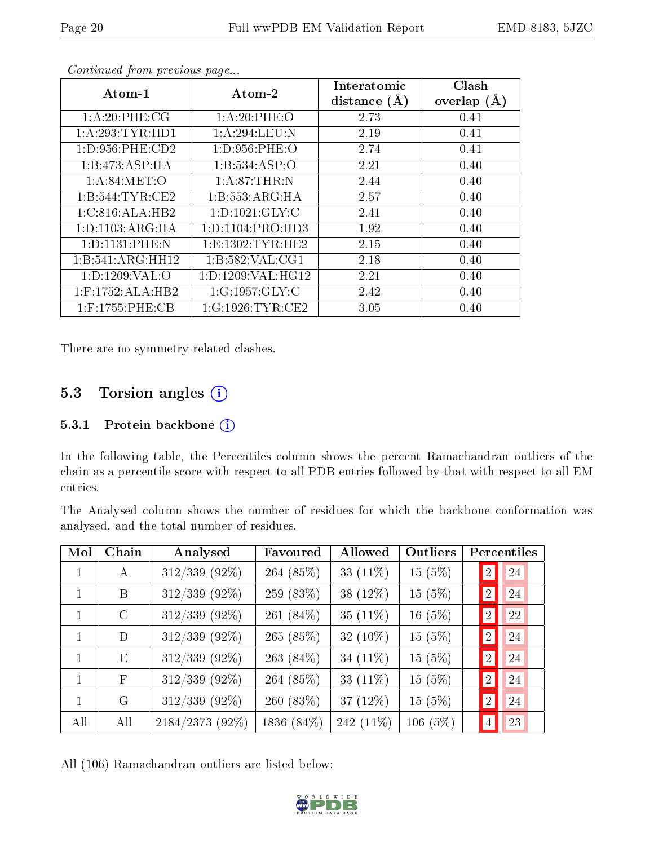| Atom-1              | Atom-2               | Interatomic<br>distance $(A)$ | Clash<br>overlap $(A)$ |
|---------------------|----------------------|-------------------------------|------------------------|
| 1: A:20:PHE:CG      | 1: A:20:PHE:O        | 2.73                          | 0.41                   |
| 1: A:293:TYR:HD1    | 1:A:294:LEU:N        | 2.19                          | 0.41                   |
| 1: D: 956: PHE: CD2 | 1: D:956: PHE:O      | 2.74                          | 0.41                   |
| 1:B:473:ASP:HA      | 1:B:534:ASP:O        | 2.21                          | 0.40                   |
| 1: A:84: MET:O      | 1: A:87:THR:N        | 2.44                          | 0.40                   |
| 1:B:544:TYR:CE2     | 1:B:553:ARG:HA       | 2.57                          | 0.40                   |
| 1:C:816:ALA:HB2     | 1:D:1021:GLY:C       | 2.41                          | 0.40                   |
| 1: D: 1103: ARG: HA | 1: D: 1104: PRO: HD3 | 1.92                          | 0.40                   |
| 1: D: 1131: PHE: N  | 1: E: 1302: TYR: HE2 | 2.15                          | 0.40                   |
| 1:B:541:ARG:HH12    | 1:B:582:VAL:CG1      | 2.18                          | 0.40                   |
| 1: D: 1209: VAL: O  | 1: D: 1209: VAL:HG12 | 2.21                          | 0.40                   |
| $1:$ F:1752:ALA:HB2 | 1:G:1957:GLY:C       | 2.42                          | 0.40                   |
| $1:$ F:1755:PHE:CB  | 1:G:1926:TYR:CE2     | 3.05                          | 0.40                   |

There are no symmetry-related clashes.

### 5.3 Torsion angles  $(i)$

#### 5.3.1 Protein backbone (i)

In the following table, the Percentiles column shows the percent Ramachandran outliers of the chain as a percentile score with respect to all PDB entries followed by that with respect to all EM entries.

The Analysed column shows the number of residues for which the backbone conformation was analysed, and the total number of residues.

| Mol | Chain        | Analysed           | Favoured     | Allowed     | <b>Outliers</b> |                | Percentiles |
|-----|--------------|--------------------|--------------|-------------|-----------------|----------------|-------------|
| 1   | $\bf{A}$     | 312/339 (92%)      | 264 (85%)    | 33 $(11\%)$ | 15(5%)          | $\overline{2}$ | 24          |
|     | B            | $312/339$ $(92\%)$ | 259 $(83\%)$ | 38 (12%)    | 15(5%)          | 2 <sub>1</sub> | 24          |
| 1   | $\rm C$      | $312/339$ (92%)    | 261 (84\%)   | 35 $(11\%)$ | 16 $(5%)$       | $\overline{2}$ | 22          |
| 1   | D            | $312/339(92\%)$    | 265(85%)     | 32 $(10\%)$ | 15(5%)          | $\overline{2}$ | 24          |
| 1   | Ε            | $312/339$ $(92\%)$ | 263 $(84\%)$ | 34 $(11\%)$ | 15(5%)          | $\sqrt{2}$     | 24          |
| 1   | $\mathbf{F}$ | 312/339 (92%)      | 264 (85%)    | 33 $(11\%)$ | 15(5%)          | $\overline{2}$ | 24          |
| 1   | G            | $312/339$ (92%)    | $260(83\%)$  | 37 $(12\%)$ | 15(5%)          | $\overline{2}$ | 24          |
| All | All          | 2184/2373 (92%)    | 1836 (84%)   | 242 (11%)   | 106 $(5%)$      | $\overline{4}$ | 23          |

All (106) Ramachandran outliers are listed below:

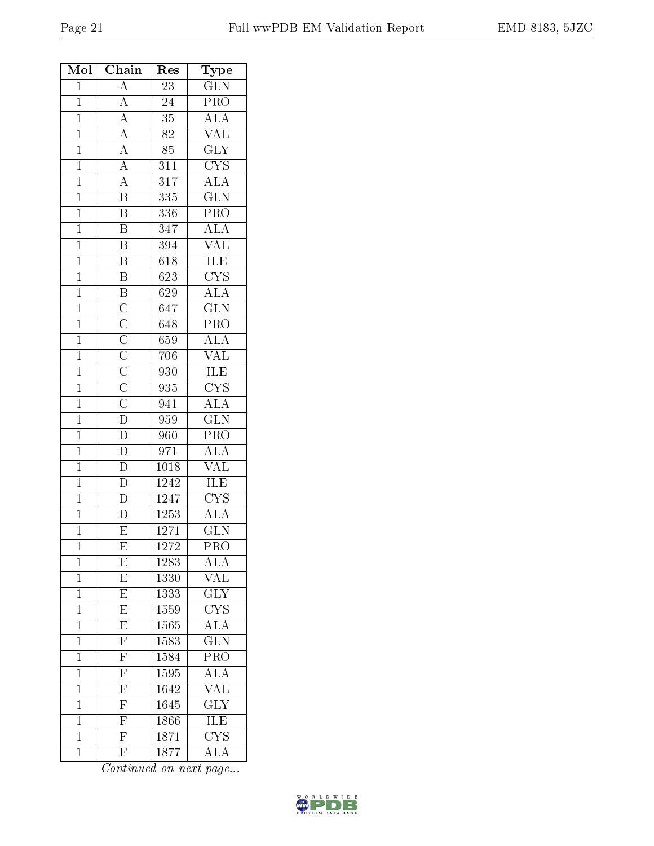| Mol            | Chain                                                                                                                                                                | Res              | $_{\rm Type}$           |
|----------------|----------------------------------------------------------------------------------------------------------------------------------------------------------------------|------------------|-------------------------|
| $\overline{1}$ | $\overline{A}$                                                                                                                                                       | $\overline{23}$  | $\overline{\text{GLN}}$ |
| $\mathbf{1}$   |                                                                                                                                                                      | 24               | PRO                     |
| $\overline{1}$ |                                                                                                                                                                      | $\overline{35}$  | $\overline{\rm ALA}$    |
| $\overline{1}$ |                                                                                                                                                                      | 82               | <b>VAL</b>              |
| $\mathbf{1}$   |                                                                                                                                                                      | 85               | $\overline{\text{GLY}}$ |
| $\overline{1}$ |                                                                                                                                                                      | 311              | $\overline{\text{CYS}}$ |
| $\overline{1}$ | $\frac{\overline{A}}{\overline{A}}$ $\frac{\overline{A}}{\overline{A}}$ $\frac{\overline{A}}{\overline{A}}$ $\overline{B}$                                           | $\overline{317}$ | $\overline{ALA}$        |
| $\overline{1}$ |                                                                                                                                                                      | $335\,$          | $\overline{\text{GLN}}$ |
| $\mathbf{1}$   | $\overline{\mathbf{B}}$                                                                                                                                              | 336              | PRO                     |
| $\mathbf{1}$   | $\overline{\mathbf{B}}$                                                                                                                                              | 347              | $\overline{\text{ALA}}$ |
| $\overline{1}$ | $\overline{B}$                                                                                                                                                       | 394              | $\overline{\text{VAL}}$ |
| $\mathbf{1}$   | $\overline{B}$                                                                                                                                                       | 618              | ILE                     |
| $\mathbf{1}$   | $\overline{B}$                                                                                                                                                       | 623              | $\overline{\text{CYS}}$ |
| $\overline{1}$ |                                                                                                                                                                      | 629              | <b>ALA</b>              |
| $\mathbf{1}$   | $\overline{B}$ $\overline{C}$ $\overline{C}$ $\overline{C}$ $\overline{C}$ $\overline{C}$ $\overline{C}$ $\overline{D}$ $\overline{D}$ $\overline{D}$ $\overline{D}$ | 647              | $\overline{\text{GLN}}$ |
| $\mathbf{1}$   |                                                                                                                                                                      | 648              | $\overline{\text{PRO}}$ |
| $\mathbf{1}$   |                                                                                                                                                                      | 659              | $\overline{\rm ALA}$    |
| $\overline{1}$ |                                                                                                                                                                      | 706              | $\overline{\text{VAL}}$ |
| $\mathbf{1}$   |                                                                                                                                                                      | 930              | $\frac{ILE}{CYS}$       |
| $\mathbf{1}$   |                                                                                                                                                                      | 935              |                         |
| $\overline{1}$ |                                                                                                                                                                      | 941              | $\overline{\text{ALA}}$ |
| $\overline{1}$ |                                                                                                                                                                      | 959              | $\overline{\text{GLN}}$ |
| $\overline{1}$ |                                                                                                                                                                      | $\overline{960}$ | $\overline{\text{PRO}}$ |
| $\mathbf 1$    |                                                                                                                                                                      | 971              | $\overline{\text{ALA}}$ |
| $\overline{1}$ | $\overline{D}$                                                                                                                                                       | 1018             | <b>VAL</b>              |
| $\mathbf{1}$   | $\frac{\overline{D}}{\overline{D}}$                                                                                                                                  | 1242             | <b>ILE</b>              |
| $\overline{1}$ |                                                                                                                                                                      | 1247             | $\overline{\text{CYS}}$ |
| $\overline{1}$ | $\overline{\rm D}$                                                                                                                                                   | 1253             | $\overline{\rm ALA}$    |
| $\mathbf{1}$   | $\overline{\mathrm{E}}$                                                                                                                                              | 1271             | <b>GLN</b>              |
| 1              | Ε                                                                                                                                                                    | 1272             | PRO                     |
| $\mathbf{1}$   | E                                                                                                                                                                    | 1283             | $\overline{\text{ALA}}$ |
| $\mathbf{1}$   | E                                                                                                                                                                    | 1330             | $\sqrt{\text{AL}}$      |
| $\mathbf{1}$   | $\overline{\mathrm{E}}$                                                                                                                                              | 1333             | $\overline{\text{GLY}}$ |
| $\mathbf{1}$   | $E_{\rm}$                                                                                                                                                            | 1559             | $\overline{\text{CYS}}$ |
| $\mathbf 1$    | $\overline{\mathrm{E}}$                                                                                                                                              | 1565             | $\overline{\rm ALA}$    |
| $\mathbf{1}$   | $\overline{F}$                                                                                                                                                       | 1583             | $\overline{\text{GLN}}$ |
| $\mathbf 1$    | $\overline{\mathrm{F}}$                                                                                                                                              | 1584             | $\overline{\text{PRO}}$ |
| $\mathbf 1$    | $\frac{1}{F}$                                                                                                                                                        | 1595             | ALA                     |
| $\mathbf{1}$   | $\overline{\mathrm{F}}$                                                                                                                                              | 1642             | $\overline{\text{VAL}}$ |
| $\mathbf 1$    | $\overline{\mathrm{F}}$                                                                                                                                              | 1645             | $\overline{\text{GLY}}$ |
| $\overline{1}$ | $\overline{\mathrm{F}}$                                                                                                                                              | 1866             | $\overline{ILE}$        |
| $\overline{1}$ | $\overline{\mathrm{F}}$                                                                                                                                              | 1871             | $\overline{\text{CYS}}$ |
| $\mathbf{1}$   | $\overline{\mathrm{F}}$                                                                                                                                              | 1877             | $\overline{\rm ALA}$    |

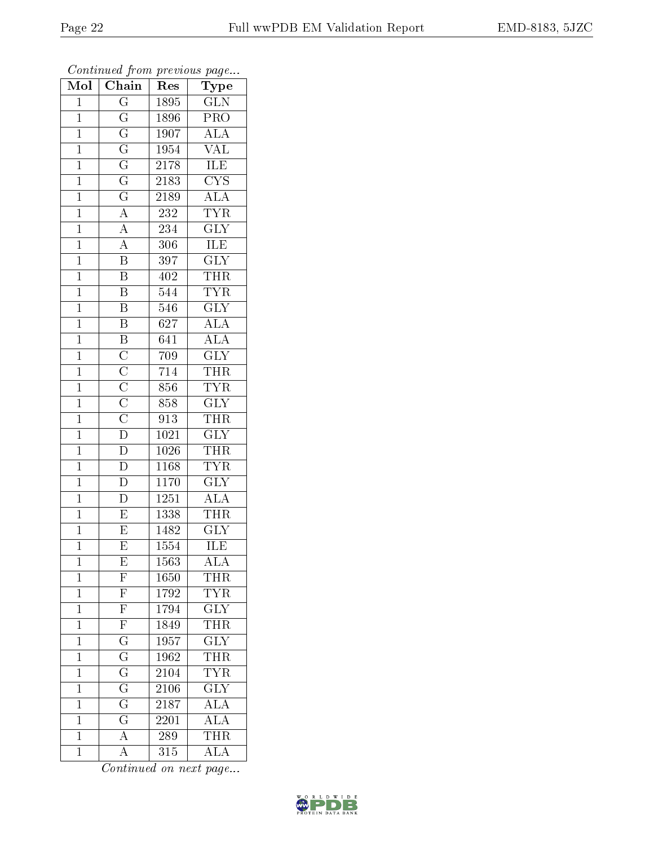| Mol            | Chain                                                                                                                               | Type<br>Res |                           |
|----------------|-------------------------------------------------------------------------------------------------------------------------------------|-------------|---------------------------|
| $\mathbf{1}$   | $\overline{\mathrm{G}}$                                                                                                             | 1895        | $\overline{\text{GLN}}$   |
| $\mathbf{1}$   | $\overline{G}$                                                                                                                      | 1896        | PRO                       |
| $\overline{1}$ | $\overline{\mathrm{G}}$                                                                                                             | 1907        | $\overline{ALA}$          |
| $\mathbf{1}$   | $\overline{\mathrm{G}}$                                                                                                             | 1954        | VAL                       |
| $\overline{1}$ | $\overline{\mathrm{G}}$                                                                                                             | 2178        | ILE                       |
| $\mathbf{1}$   |                                                                                                                                     | 2183        | $\overline{\text{CYS}}$   |
| $\mathbf 1$    | $\frac{\overline{G}}{\overline{G}}$                                                                                                 | 2189        | $\overline{\rm ALA}$      |
| $\mathbf{1}$   | $\overline{A}$                                                                                                                      | 232         | TYR                       |
| $\mathbf{1}$   | $\overline{A}$                                                                                                                      | 234         | $\overline{\text{GLY}}$   |
| $\mathbf{1}$   | $\overline{A}$                                                                                                                      | 306         | <b>ILE</b>                |
| $\mathbf{1}$   | $\overline{\mathrm{B}}$                                                                                                             | 397         | $\overline{\text{GLY}}$   |
| $\mathbf{1}$   | $\overline{\mathrm{B}}$                                                                                                             | 402         | <b>THR</b>                |
| $\mathbf{1}$   | $\overline{\mathrm{B}}$                                                                                                             | 544         | <b>TYR</b>                |
| $\mathbf{1}$   | $\overline{\mathrm{B}}$                                                                                                             | 546         | $\overline{\text{GLY}}$   |
| $\mathbf{1}$   | $\overline{\mathbf{B}}$                                                                                                             | 627         | $\overline{ALA}$          |
| $\mathbf{1}$   | $\overline{\mathbf{B}}$                                                                                                             | 641         | $\overline{\rm ALA}$      |
| $\mathbf{1}$   |                                                                                                                                     | 709         | $\overline{\text{GLY}}$   |
| $\mathbf{1}$   | $\overline{\text{C}}$ $\overline{\text{C}}$ $\overline{\text{C}}$ $\overline{\text{C}}$ $\overline{\text{C}}$ $\overline{\text{D}}$ | 714         | <b>THR</b>                |
| $\overline{1}$ |                                                                                                                                     | 856         | <b>TYR</b>                |
| $\overline{1}$ |                                                                                                                                     | 858         | $\overline{\text{GLY}}$   |
| $\mathbf{1}$   |                                                                                                                                     | 913         | $T\bar{H}R$               |
| $\overline{1}$ |                                                                                                                                     | 1021        | $\overline{\mathrm{GLY}}$ |
| $\mathbf{1}$   | $\overline{\rm D}$                                                                                                                  | 1026        | <b>THR</b>                |
| $\overline{1}$ | $\overline{\rm D}$                                                                                                                  | 1168        | <b>TYR</b>                |
| $\mathbf{1}$   | $\overline{\rm D}$                                                                                                                  | 1170        | GLY                       |
| $\mathbf{1}$   | $\overline{\rm D}$                                                                                                                  | 1251        | $\overline{\rm ALA}$      |
| $\mathbf{1}$   | $\overline{\mathrm{E}}$                                                                                                             | 1338        | <b>THR</b>                |
| $\overline{1}$ | $\overline{\mathrm{E}}$                                                                                                             | 1482        | $\overline{\text{GLY}}$   |
| $\mathbf 1$    | $\overline{\mathrm{E}}$                                                                                                             | 1554        | $\overline{\rm ILE}$      |
| $\mathbf 1$    | E                                                                                                                                   | 1563        | ALA                       |
| $\mathbf 1$    | $\overline{\mathrm{F}}$                                                                                                             | 1650        | THR                       |
| $\mathbf 1$    | $\overline{\mathrm{F}}$                                                                                                             | 1792        | <b>TYR</b>                |
| $\mathbf{1}$   | $\overline{\mathrm{F}}$                                                                                                             | 1794        | <b>GLY</b>                |
| $\mathbf 1$    | $\overline{\mathrm{F}}$                                                                                                             | 1849        | <b>THR</b>                |
| $\mathbf{1}$   | $\overline{G}$                                                                                                                      | 1957        | $\overline{\text{GLY}}$   |
| $\mathbf 1$    | $\overline{\mathrm{G}}$                                                                                                             | 1962        | THR                       |
| $\mathbf{1}$   | $\overline{\mathrm{G}}$                                                                                                             | 2104        | <b>TYR</b>                |
| $\mathbf{1}$   | $\frac{\overline{\text{G}}}{\text{G}}$                                                                                              | 2106        | $\overline{\text{GLY}}$   |
| $\mathbf 1$    |                                                                                                                                     | 2187        | $\overline{\rm ALA}$      |
| $\mathbf 1$    |                                                                                                                                     | 2201        | $\overline{\rm ALA}$      |
| $\mathbf{1}$   | $\overline{A}$                                                                                                                      | 289         | <b>THR</b>                |
| $\mathbf 1$    | $\overline{\rm A}$                                                                                                                  | 315         | $\overline{\rm ALA}$      |

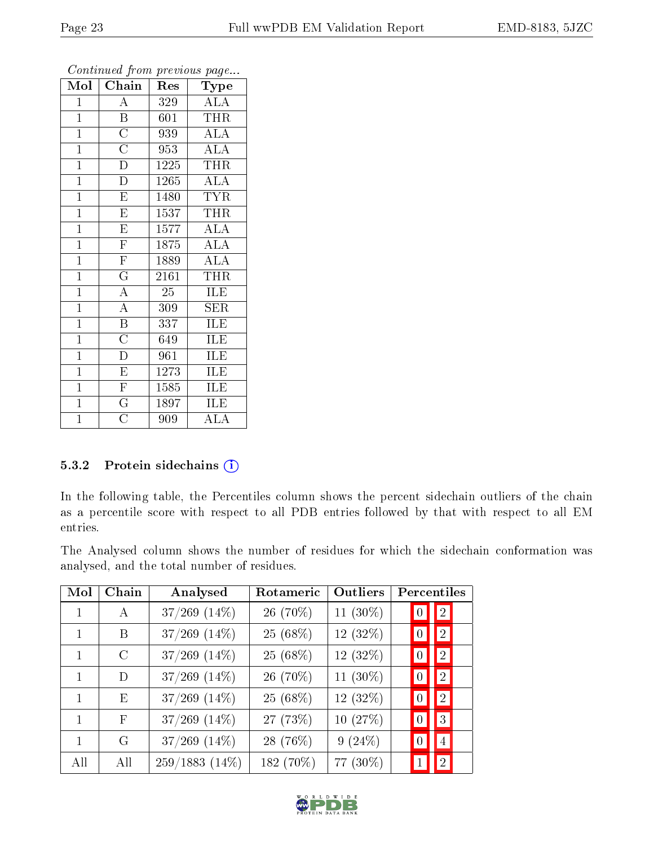| Mol            | $\overline{\text{Chain}}$ | Res              | Type                    |
|----------------|---------------------------|------------------|-------------------------|
| $\mathbf{1}$   | $\overline{A}$            | 329              | <b>ALA</b>              |
| $\mathbf{1}$   | $\overline{\mathrm{B}}$   | 601              | <b>THR</b>              |
| $\mathbf{1}$   | $\overline{C}$            | 939              | <b>ALA</b>              |
| $\mathbf{1}$   | $\overline{C}$            | 953              | <b>ALA</b>              |
| $\mathbf{1}$   | $\overline{\rm D}$        | 1225             | <b>THR</b>              |
| $\mathbf{1}$   | $\overline{\rm D}$        | 1265             | <b>ALA</b>              |
| $\mathbf{1}$   | $\overline{\mathrm{E}}$   | 1480             | <b>TYR</b>              |
| $\mathbf{1}$   | $\overline{\mathrm{E}}$   | 1537             | <b>THR</b>              |
| $\mathbf{1}$   | $\overline{\mathrm{E}}$   | 1577             | <b>ALA</b>              |
| $\mathbf{1}$   | $\overline{\mathrm{F}}$   | 1875             | $\overline{\text{ALA}}$ |
| $\mathbf{1}$   | $\overline{\mathrm{F}}$   | 1889             | <b>ALA</b>              |
| $\overline{1}$ | $\overline{\mathrm{G}}$   | 2161             | <b>THR</b>              |
| $\mathbf{1}$   | $\overline{\rm A}$        | 25               | ILE                     |
| $\mathbf{1}$   | $\overline{\rm A}$        | 309              | <b>SER</b>              |
| $\mathbf{1}$   | $\overline{\mathbf{B}}$   | 337              | ILE                     |
| $\mathbf{1}$   | $\overline{\rm C}$        | 649              | ILE                     |
| $\overline{1}$ | $\overline{\rm D}$        | $\overline{961}$ | ILE                     |
| $\mathbf{1}$   | $\overline{\mathrm{E}}$   | 1273             | ILE                     |
| $\mathbf{1}$   | $\overline{F}$            | 1585             | ILE                     |
| $\overline{1}$ | $\overline{\mathrm{G}}$   | 1897             | ILE                     |
| $\overline{1}$ | $\overline{\rm C}$        | 909              | <b>ALA</b>              |

#### 5.3.2 Protein sidechains (i)

In the following table, the Percentiles column shows the percent sidechain outliers of the chain as a percentile score with respect to all PDB entries followed by that with respect to all EM entries.

The Analysed column shows the number of residues for which the sidechain conformation was analysed, and the total number of residues.

| $\operatorname{Mol}$ | Chain         | Analysed          | Rotameric | <b>Outliers</b> | Percentiles          |
|----------------------|---------------|-------------------|-----------|-----------------|----------------------|
|                      | А             | $37/269$ $(14\%)$ | 26 (70%)  | 11 (30%)        | $\sqrt{2}$           |
|                      | В             | $37/269$ $(14\%)$ | 25 (68%)  | $12(32\%)$      | 2                    |
|                      | $\mathcal{C}$ | $37/269$ $(14\%)$ | 25 (68%)  | $12(32\%)$      | 2 <br>$\bf{0}$       |
| 1                    | D             | $37/269$ $(14\%)$ | 26 (70%)  | 11 $(30\%)$     | 2 <br>$\overline{0}$ |
| 1                    | E             | $37/269$ $(14\%)$ | 25 (68%)  | 12 (32%)        | 2                    |
| 1                    | F             | $37/269$ $(14\%)$ | 27 (73%)  | 10 (27%)        | $3\vert$             |
|                      | G             | $37/269$ $(14\%)$ | 28 (76%)  | $9(24\%)$       | $\overline{4}$       |
| All                  | All           | $259/1883(14\%)$  | 182 (70%) | 77 (30%)        | $\overline{2}$       |

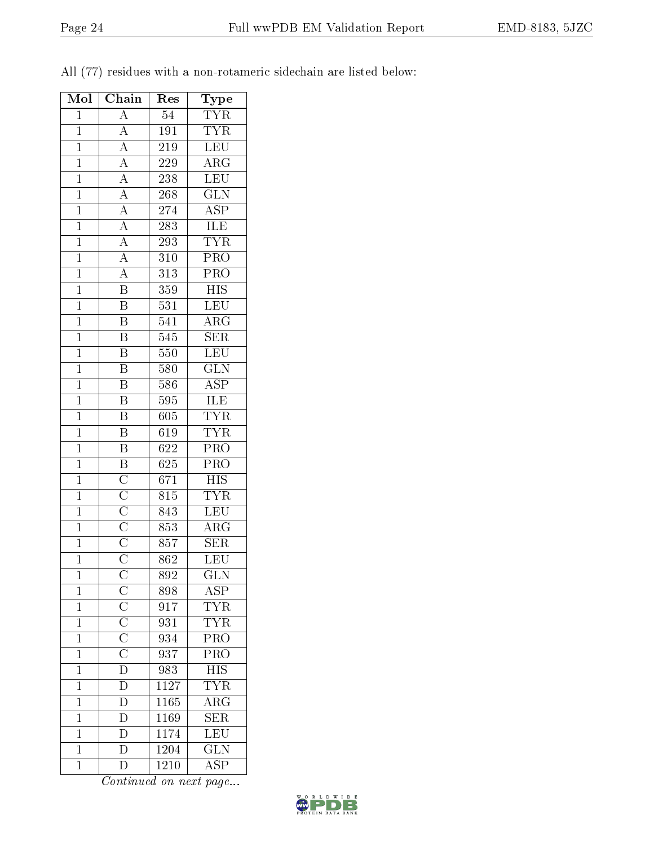| Mol            | Chain                                                                                                                                           | Res              | Type                     |
|----------------|-------------------------------------------------------------------------------------------------------------------------------------------------|------------------|--------------------------|
| $\mathbf{1}$   | A                                                                                                                                               | $54\,$           | $\overline{\text{TYR}}$  |
| $\mathbf{1}$   | $\boldsymbol{A}$                                                                                                                                | 191              | ${\rm TYR}$              |
| $\overline{1}$ | $\overline{A}$                                                                                                                                  | 219              | $\overline{\text{LEU}}$  |
| $\mathbf{1}$   | $\boldsymbol{A}$                                                                                                                                | 229              | $\rm{ARG}$               |
| $\overline{1}$ | $\overline{A}$                                                                                                                                  | 238              | <b>LEU</b>               |
| $\mathbf{1}$   | $\overline{A}$                                                                                                                                  | $268\,$          | $\overline{\text{GLN}}$  |
| $\mathbf{1}$   | $\overline{A}$                                                                                                                                  | 274              | <b>ASP</b>               |
| $\overline{1}$ | $\overline{A}$                                                                                                                                  | 283              | <b>ILE</b>               |
| $\mathbf{1}$   | $\overline{A}$                                                                                                                                  | 293              | <b>TYR</b>               |
| $\overline{1}$ | $\overline{A}$                                                                                                                                  | 310              | $\overline{\text{PRO}}$  |
| $\mathbf{1}$   | $\overline{A}$                                                                                                                                  | 313              | PRO                      |
| $\mathbf{1}$   | $\overline{\mathrm{B}}$                                                                                                                         | 359              | HIS                      |
| $\mathbf{1}$   | $\overline{\mathrm{B}}$                                                                                                                         | 531              | LEU                      |
| $\mathbf{1}$   | $\overline{\mathrm{B}}$                                                                                                                         | 541              | $\rm{ARG}$               |
| $\overline{1}$ | $\overline{\mathrm{B}}$                                                                                                                         | 545              | $\overline{\text{SER}}$  |
| $\mathbf{1}$   | $\overline{\mathrm{B}}$                                                                                                                         | 550              | LEU                      |
| $\mathbf{1}$   | Β                                                                                                                                               | 580              | $\widetilde{\text{GLN}}$ |
| $\overline{1}$ | $\overline{\mathrm{B}}$                                                                                                                         | 586              | <b>ASP</b>               |
| $\overline{1}$ | $\overline{\mathrm{B}}$                                                                                                                         | 595              | ILE                      |
| $\overline{1}$ | $\overline{\mathrm{B}}$                                                                                                                         | 605              | <b>TYR</b>               |
| $\mathbf{1}$   | $\overline{\mathrm{B}}$                                                                                                                         | 619              | <b>TYR</b>               |
| $\mathbf{1}$   | $\overline{\mathrm{B}}$                                                                                                                         | 622              | PRO                      |
| $\mathbf{1}$   | $\overline{B}$                                                                                                                                  | 625              | PRO                      |
| $\overline{1}$ | $\overline{\rm C}$                                                                                                                              | 671              | <b>HIS</b>               |
| $\mathbf{1}$   | $\overline{C}$                                                                                                                                  | 815              | <b>TYR</b>               |
| $\mathbf{1}$   |                                                                                                                                                 | 843              | <b>LEU</b>               |
| $\mathbf{1}$   |                                                                                                                                                 | 853              | $\overline{\text{ARG}}$  |
| $\mathbf{1}$   | $\overline{\frac{\text{C}}{\text{C}}}}$ $\overline{\frac{\text{C}}{\text{C}}}}$                                                                 | 857              | $\overline{\text{SER}}$  |
| $\mathbf{1}$   |                                                                                                                                                 | 862              | <b>LEU</b>               |
| 1              |                                                                                                                                                 | 892              | <b>GLN</b>               |
| $\mathbf{1}$   | $\frac{\overline{C}}{\overline{C}}$ $\frac{\overline{C}}{\overline{C}}$ $\frac{\overline{C}}{\overline{C}}$ $\frac{\overline{C}}{\overline{D}}$ | 898              | <b>ASP</b>               |
| $\mathbf{1}$   |                                                                                                                                                 | $91\overline{7}$ | <b>TYR</b>               |
| $\mathbf{1}$   |                                                                                                                                                 | 931              | ${\rm TYR}$              |
| $\mathbf{1}$   |                                                                                                                                                 | 934              | PRO                      |
| $\mathbf{1}$   |                                                                                                                                                 | 937              | $\overline{\text{PRO}}$  |
| $\mathbf 1$    |                                                                                                                                                 | 983              | $_{\rm HIS}$             |
| $\mathbf{1}$   | $\overline{\rm D}$                                                                                                                              | 1127             | <b>TYR</b>               |
| $\mathbf{1}$   | D                                                                                                                                               | 1165             | $AR\overline{G}$         |
| $\overline{1}$ | $\overline{\mathrm{D}}$                                                                                                                         | 1169             | $\overline{\text{SER}}$  |
| $\mathbf 1$    | D                                                                                                                                               | 1174             | LEU                      |
| $\mathbf{1}$   | D                                                                                                                                               | 1204             | $\overline{\text{GLN}}$  |
| $\mathbf{1}$   | $\overline{\rm D}$                                                                                                                              | 1210             | $\overline{\text{ASP}}$  |

All (77) residues with a non-rotameric sidechain are listed below:

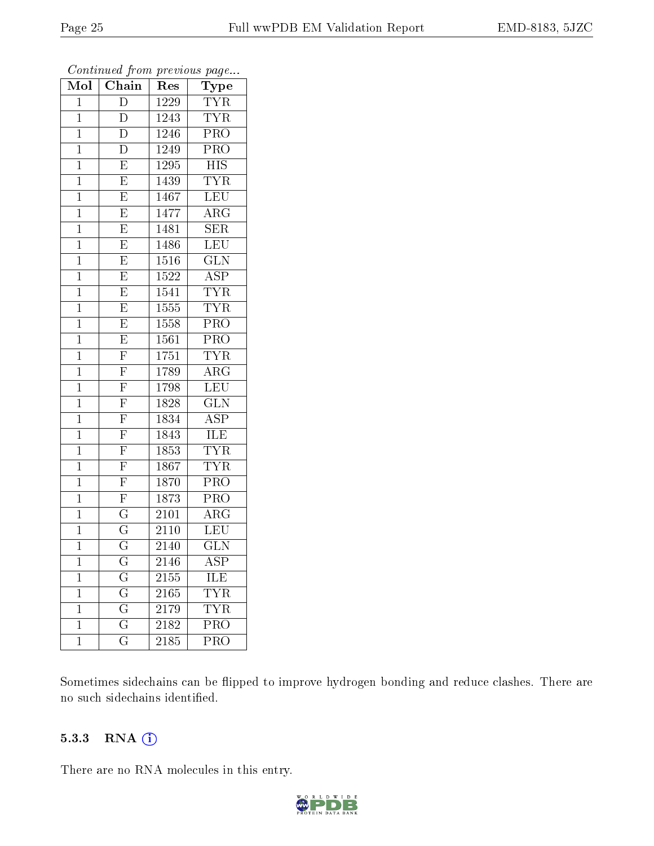| Mol            | Chain                   | Type<br>Res       |                         |
|----------------|-------------------------|-------------------|-------------------------|
| $\overline{1}$ | $\overline{D}$          | 1229              | <b>TYR</b>              |
| $\mathbf{1}$   | D                       | 1243              | <b>TYR</b>              |
| $\overline{1}$ | D                       | 1246              | $\overline{\text{PRO}}$ |
| $\mathbf 1$    | D                       | 1249              | PRO                     |
| $\mathbf 1$    | $\overline{E}$          | $\overline{1}295$ | $\overline{HIS}$        |
| $\mathbf{1}$   | $\overline{E}$          | 1439              | <b>TYR</b>              |
| $\overline{1}$ | $\overline{E}$          | 1467              | LEU                     |
| $\mathbf 1$    | $\overline{\mathrm{E}}$ | $147\overline{7}$ | $\overline{\text{ARG}}$ |
| $\mathbf{1}$   | $\overline{\mathrm{E}}$ | 1481              | <b>SER</b>              |
| $\mathbf{1}$   | $\overline{E}$          | 1486              | <b>LEU</b>              |
| $\mathbf{1}$   | $\overline{E}$          | 1516              | <b>GLN</b>              |
| $\overline{1}$ | $\overline{\mathrm{E}}$ | 1522              | $\overline{\text{ASP}}$ |
| $\mathbf{1}$   | $\overline{E}$          | 1541              | <b>TYR</b>              |
| $\mathbf{1}$   | $\overline{\mathrm{E}}$ | 1555              | <b>TYR</b>              |
| $\mathbf 1$    | $\overline{E}$          | 1558              | $\overline{\text{PRO}}$ |
| $\mathbf{1}$   | $\overline{E}$          | 1561              | PRO                     |
| $\mathbf{1}$   | $\overline{F}$          | 1751              | <b>TYR</b>              |
| $\mathbf{1}$   | $\overline{\mathrm{F}}$ | 1789              | $\rm{ARG}$              |
| $\mathbf{1}$   | $\overline{\mathrm{F}}$ | $17\overline{98}$ | LEU                     |
| $\mathbf{1}$   | $\overline{\mathrm{F}}$ | 1828              | $\overline{\text{GLN}}$ |
| $\mathbf{1}$   | $\overline{\mathrm{F}}$ | 1834              | ASP                     |
| $\mathbf{1}$   | $\overline{\mathrm{F}}$ | 1843              | <b>ILE</b>              |
| $\mathbf{1}$   | $\overline{\mathrm{F}}$ | 1853              | <b>TYR</b>              |
| $\mathbf 1$    | $\overline{\mathrm{F}}$ | 1867              | <b>TYR</b>              |
| $\mathbf{1}$   | $\overline{F}$          | 1870              | $\overline{\text{PRO}}$ |
| $\mathbf{1}$   | $\overline{\mathrm{F}}$ | 1873              | PRO                     |
| $\mathbf{1}$   | $\overline{\mathrm{G}}$ | 2101              | $\overline{\rm ARG}$    |
| $\mathbf{1}$   | $\overline{\mathrm{G}}$ | 2110              | <b>LEU</b>              |
| $\mathbf{1}$   | $\overline{\mathrm{G}}$ | 2140              | $\overline{\text{GLN}}$ |
| 1              | $\rm G$                 | 2146              | ${\rm ASP}$             |
| $\mathbf{1}$   | $\overline{\mathrm{G}}$ | $21\overline{55}$ | ILE                     |
| $\mathbf{1}$   | $\overline{G}$          | 2165              | $T\overline{YR}$        |
| $\mathbf 1$    | $\overline{\mathrm{G}}$ | 2179              | <b>TYR</b>              |
| $\mathbf 1$    | $\overline{\mathrm{G}}$ | $\overline{2182}$ | PRO                     |
| $\mathbf 1$    | $\overline{\mathrm{G}}$ | 2185              | $\overline{\text{PRO}}$ |

Sometimes sidechains can be flipped to improve hydrogen bonding and reduce clashes. There are no such sidechains identified.

#### 5.3.3 RNA [O](https://www.wwpdb.org/validation/2017/EMValidationReportHelp#rna)i

There are no RNA molecules in this entry.

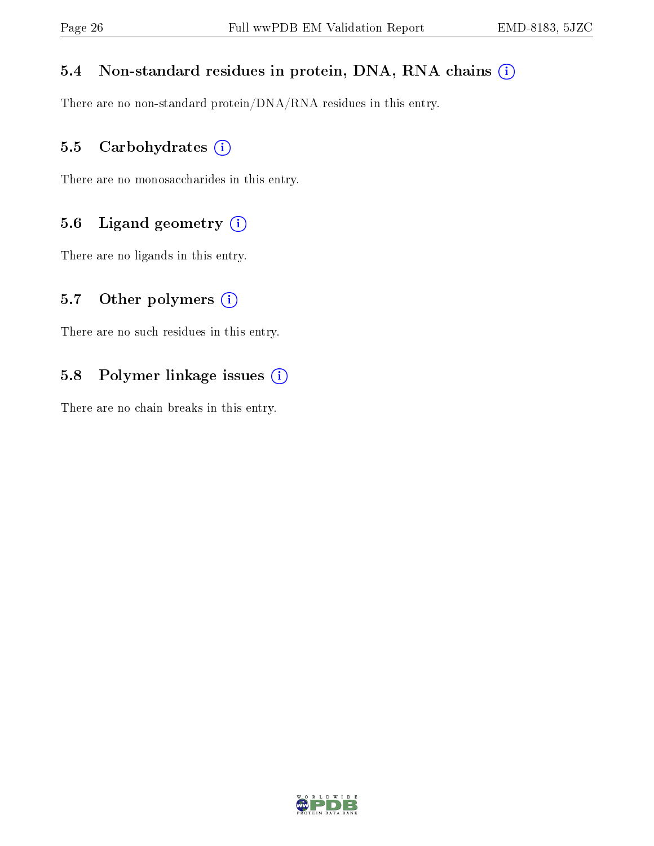## 5.4 Non-standard residues in protein, DNA, RNA chains (i)

There are no non-standard protein/DNA/RNA residues in this entry.

## 5.5 Carbohydrates (i)

There are no monosaccharides in this entry.

## 5.6 Ligand geometry (i)

There are no ligands in this entry.

### 5.7 [O](https://www.wwpdb.org/validation/2017/EMValidationReportHelp#nonstandard_residues_and_ligands)ther polymers  $(i)$

There are no such residues in this entry.

## 5.8 Polymer linkage issues (i)

There are no chain breaks in this entry.

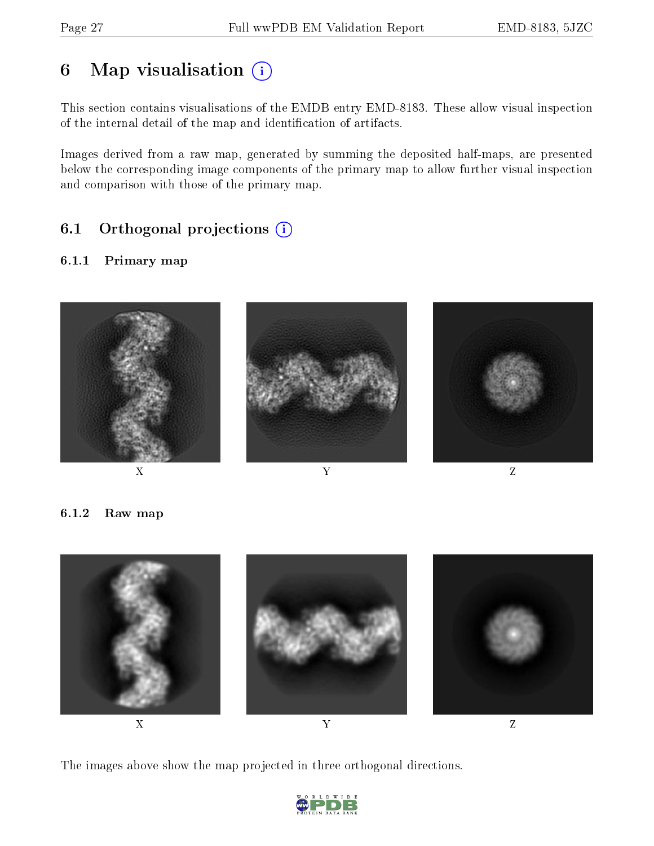# 6 Map visualisation  $(i)$

This section contains visualisations of the EMDB entry EMD-8183. These allow visual inspection of the internal detail of the map and identification of artifacts.

Images derived from a raw map, generated by summing the deposited half-maps, are presented below the corresponding image components of the primary map to allow further visual inspection and comparison with those of the primary map.

## 6.1 [O](https://www.wwpdb.org/validation/2017/EMValidationReportHelp#orthogonal_projections)rthogonal projections (i)

#### 6.1.1 Primary map



6.1.2 Raw map



The images above show the map projected in three orthogonal directions.

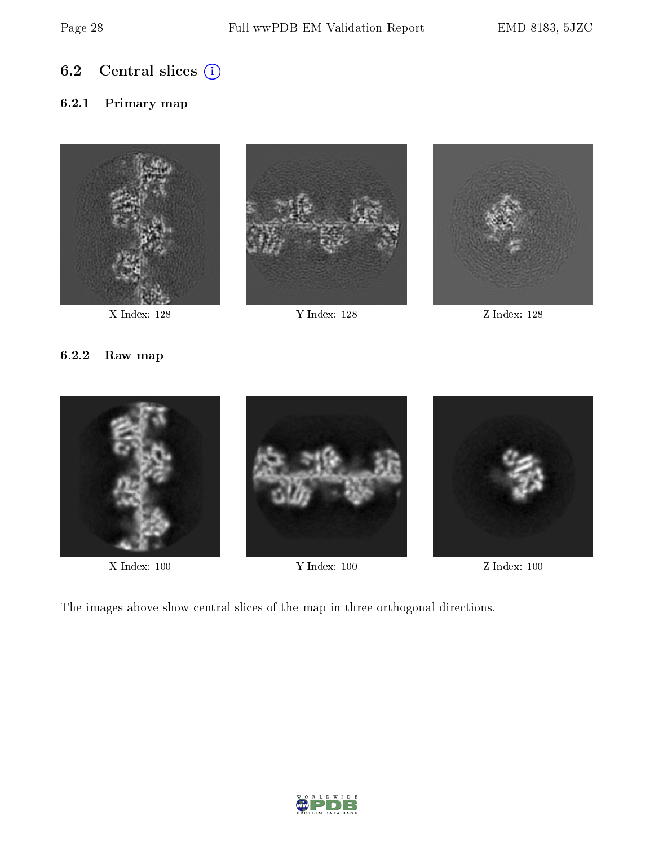## 6.2 Central slices  $(i)$

#### 6.2.1 Primary map





X Index: 128 Y Index: 128 Z Index: 128



#### 6.2.2 Raw map



X Index: 100 Y Index: 100 Z Index: 100

The images above show central slices of the map in three orthogonal directions.

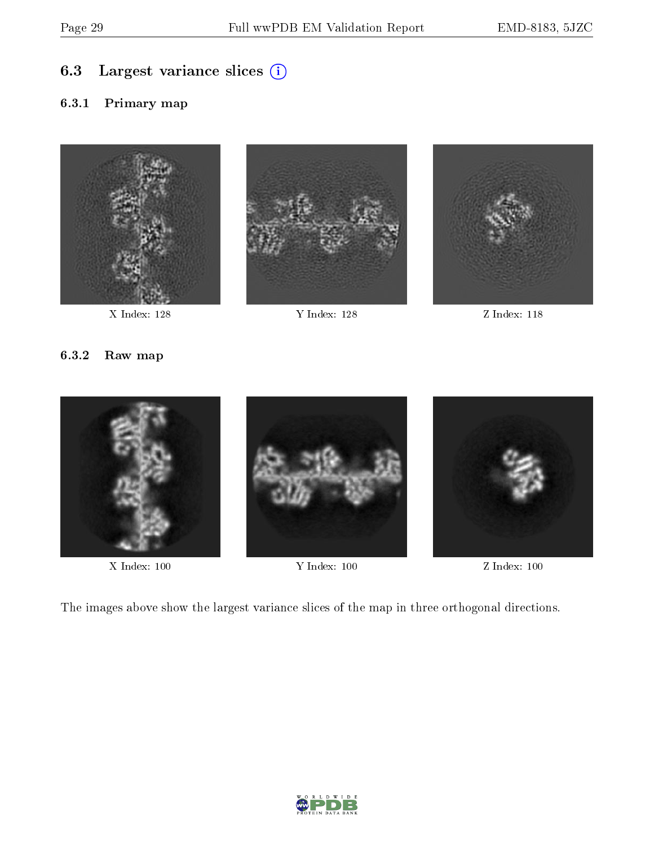## 6.3 Largest variance slices (i)

#### 6.3.1 Primary map







#### 6.3.2 Raw map



X Index: 100 Y Index: 100 Z Index: 100

The images above show the largest variance slices of the map in three orthogonal directions.

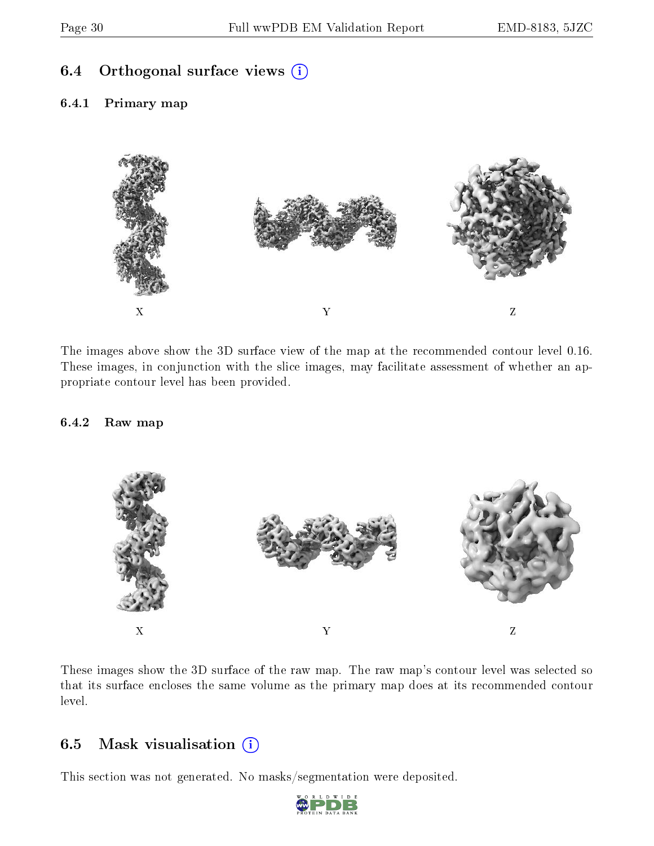#### 6.4 [O](https://www.wwpdb.org/validation/2017/EMValidationReportHelp#orthogonal_views)rthogonal surface views  $(i)$

6.4.1 Primary map



The images above show the 3D surface view of the map at the recommended contour level 0.16. These images, in conjunction with the slice images, may facilitate assessment of whether an appropriate contour level has been provided.

#### 6.4.2 Raw map



These images show the 3D surface of the raw map. The raw map's contour level was selected so that its surface encloses the same volume as the primary map does at its recommended contour level.

#### 6.5 Mask visualisation  $(i)$

This section was not generated. No masks/segmentation were deposited.

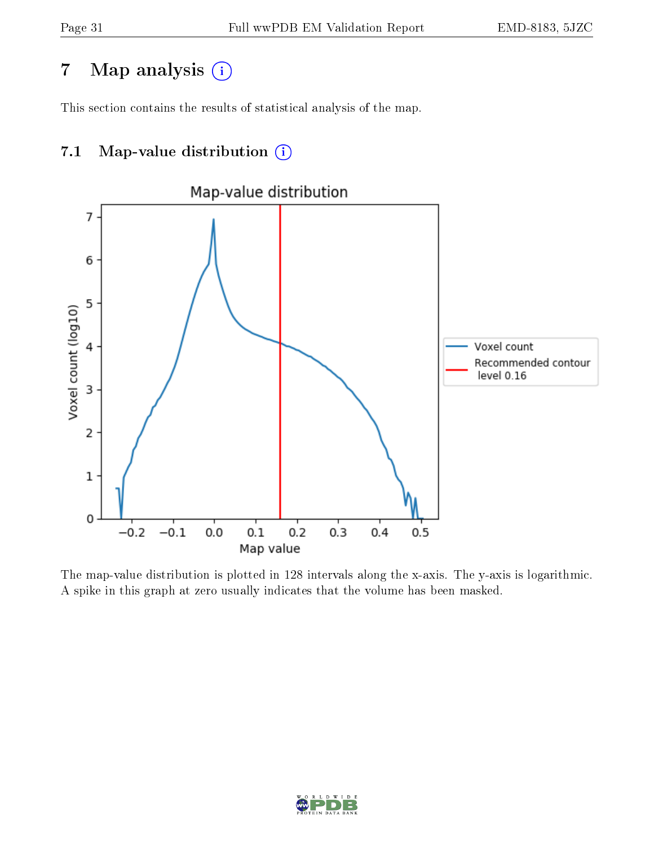## 7 Map analysis  $(i)$

This section contains the results of statistical analysis of the map.

## 7.1 Map-value distribution  $\overline{a}$



The map-value distribution is plotted in 128 intervals along the x-axis. The y-axis is logarithmic. A spike in this graph at zero usually indicates that the volume has been masked.

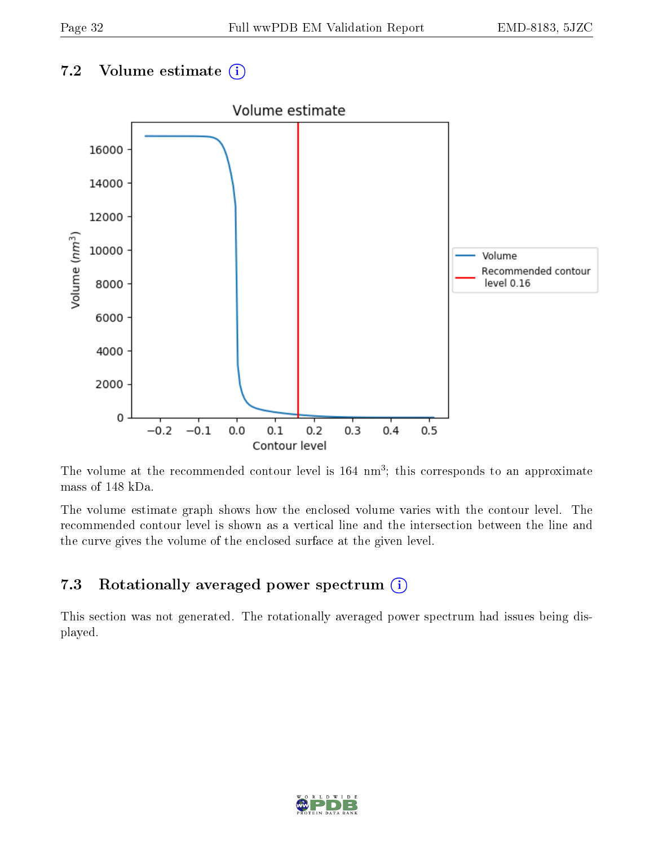## 7.2 Volume estimate  $(i)$



The volume at the recommended contour level is 164 nm<sup>3</sup>; this corresponds to an approximate mass of 148 kDa.

The volume estimate graph shows how the enclosed volume varies with the contour level. The recommended contour level is shown as a vertical line and the intersection between the line and the curve gives the volume of the enclosed surface at the given level.

## 7.3 Rotationally averaged power spectrum  $(i)$

This section was not generated. The rotationally averaged power spectrum had issues being displayed.

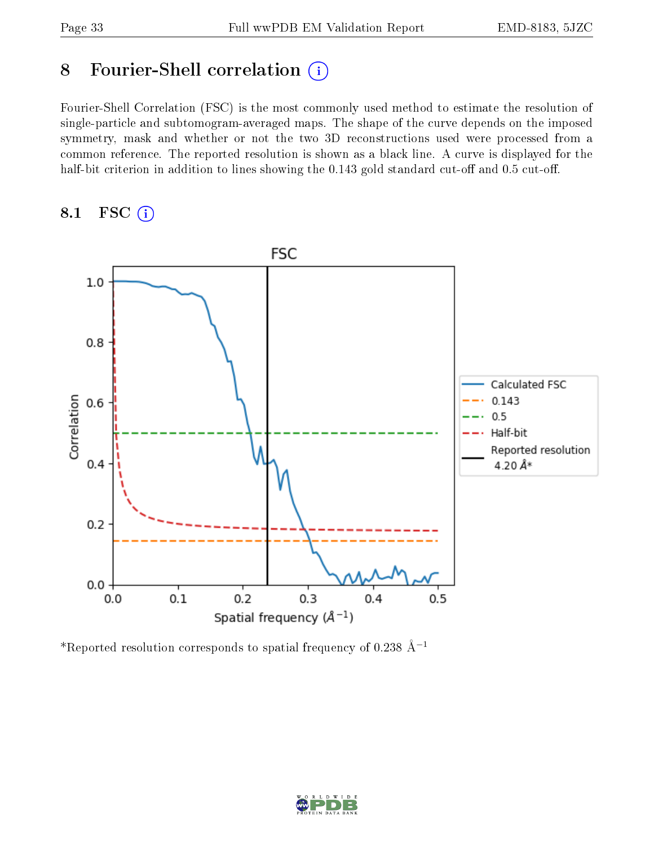## 8 Fourier-Shell correlation (i)

Fourier-Shell Correlation (FSC) is the most commonly used method to estimate the resolution of single-particle and subtomogram-averaged maps. The shape of the curve depends on the imposed symmetry, mask and whether or not the two 3D reconstructions used were processed from a common reference. The reported resolution is shown as a black line. A curve is displayed for the half-bit criterion in addition to lines showing the  $0.143$  gold standard cut-off and  $0.5$  cut-off.

#### 8.1 FSC (i)



\*Reported resolution corresponds to spatial frequency of 0.238 Å<sup>-1</sup>

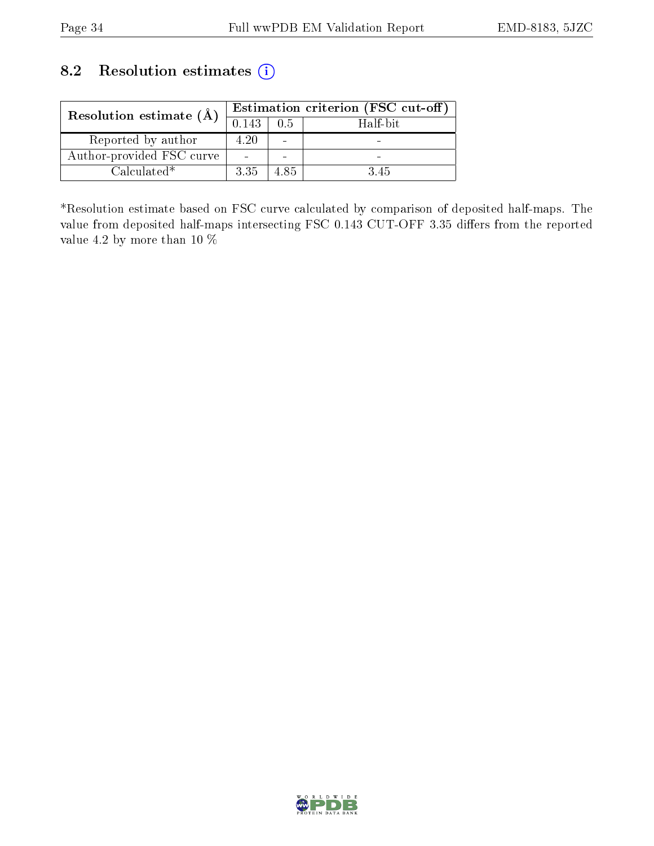## 8.2 Resolution estimates (i)

| Resolution estimate $(A)$ |       | Estimation criterion (FSC cut-off) |          |  |  |  |
|---------------------------|-------|------------------------------------|----------|--|--|--|
|                           | 0.143 | 0.5                                | Half-bit |  |  |  |
| Reported by author        | 4.20  |                                    |          |  |  |  |
| Author-provided FSC curve |       |                                    |          |  |  |  |
| $Calculated*$             | 3.35  | 485                                | 3.45     |  |  |  |

\*Resolution estimate based on FSC curve calculated by comparison of deposited half-maps. The value from deposited half-maps intersecting FSC 0.143 CUT-OFF 3.35 differs from the reported value 4.2 by more than 10 %

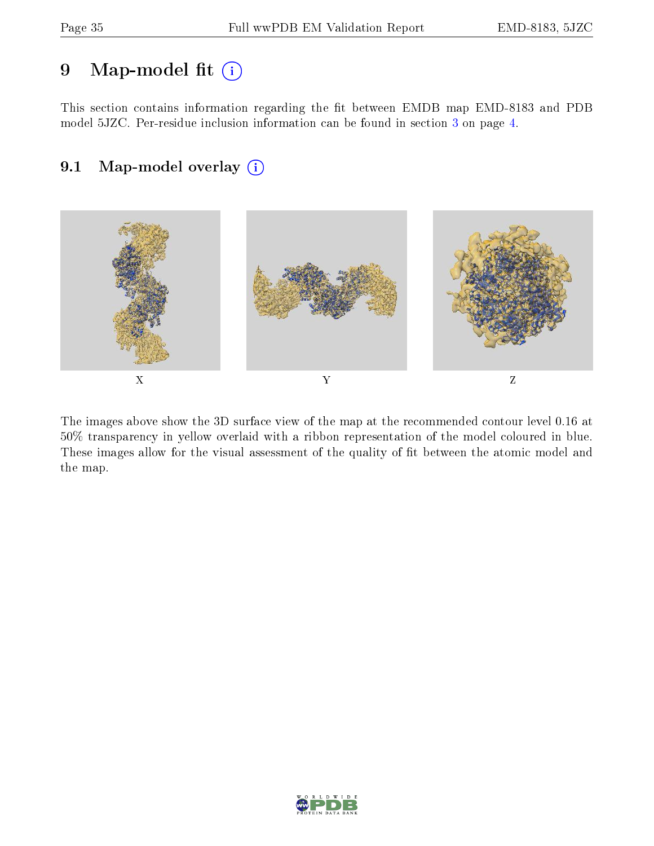## 9 Map-model fit  $(i)$

This section contains information regarding the fit between EMDB map EMD-8183 and PDB model 5JZC. Per-residue inclusion information can be found in section [3](#page-3-0) on page [4.](#page-3-0)

## 9.1 Map-model overlay (i)



The images above show the 3D surface view of the map at the recommended contour level 0.16 at 50% transparency in yellow overlaid with a ribbon representation of the model coloured in blue. These images allow for the visual assessment of the quality of fit between the atomic model and the map.